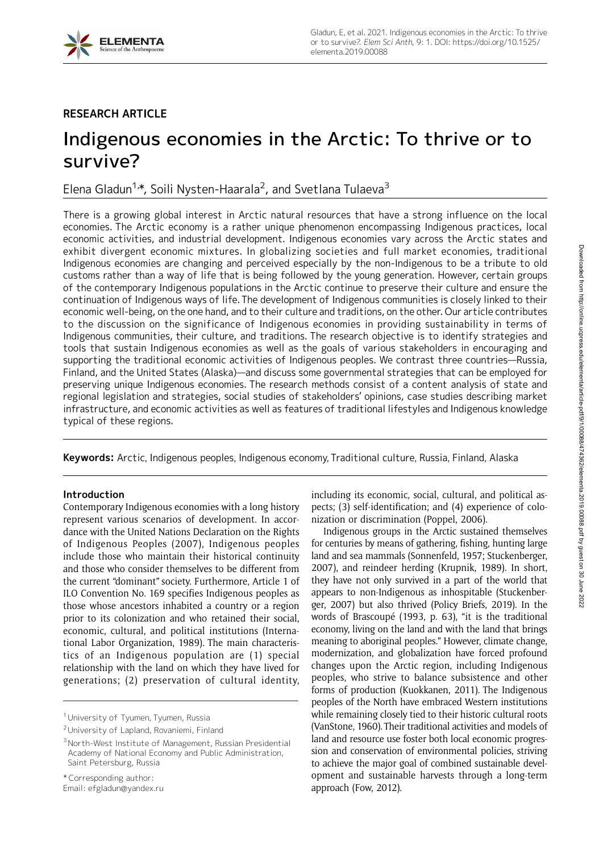

## RESEARCH ARTICLE

# Indigenous economies in the Arctic: To thrive or to survive?

Elena Gladun<sup>1,</sup>\*, Soili Nysten-Haarala<sup>2</sup>, and Svetlana Tulaeva<sup>3</sup>

There is a growing global interest in Arctic natural resources that have a strong influence on the local economies. The Arctic economy is a rather unique phenomenon encompassing Indigenous practices, local economic activities, and industrial development. Indigenous economies vary across the Arctic states and exhibit divergent economic mixtures. In globalizing societies and full market economies, traditional Indigenous economies are changing and perceived especially by the non-Indigenous to be a tribute to old customs rather than a way of life that is being followed by the young generation. However, certain groups of the contemporary Indigenous populations in the Arctic continue to preserve their culture and ensure the continuation of Indigenous ways of life. The development of Indigenous communities is closely linked to their economic well-being, on the one hand, and to their culture and traditions, on the other. Our article contributes to the discussion on the significance of Indigenous economies in providing sustainability in terms of Indigenous communities, their culture, and traditions. The research objective is to identify strategies and tools that sustain Indigenous economies as well as the goals of various stakeholders in encouraging and supporting the traditional economic activities of Indigenous peoples. We contrast three countries—Russia, Finland, and the United States (Alaska)—and discuss some governmental strategies that can be employed for preserving unique Indigenous economies. The research methods consist of a content analysis of state and regional legislation and strategies, social studies of stakeholders' opinions, case studies describing market infrastructure, and economic activities as well as features of traditional lifestyles and Indigenous knowledge typical of these regions.

Keywords: Arctic, Indigenous peoples, Indigenous economy, Traditional culture, Russia, Finland, Alaska

## Introduction

Contemporary Indigenous economies with a long history represent various scenarios of development. In accordance with the United Nations Declaration on the Rights of Indigenous Peoples (2007), Indigenous peoples include those who maintain their historical continuity and those who consider themselves to be different from the current "dominant" society. Furthermore, Article 1 of ILO Convention No. 169 specifies Indigenous peoples as those whose ancestors inhabited a country or a region prior to its colonization and who retained their social, economic, cultural, and political institutions (International Labor Organization, 1989). The main characteristics of an Indigenous population are (1) special relationship with the land on which they have lived for generations; (2) preservation of cultural identity,

including its economic, social, cultural, and political aspects; (3) self-identification; and (4) experience of colonization or discrimination (Poppel, 2006).

Indigenous groups in the Arctic sustained themselves for centuries by means of gathering, fishing, hunting large land and sea mammals (Sonnenfeld, 1957; Stuckenberger, 2007), and reindeer herding (Krupnik, 1989). In short, they have not only survived in a part of the world that appears to non-Indigenous as inhospitable (Stuckenberger, 2007) but also thrived (Policy Briefs, 2019). In the words of Brascoupé (1993, p. 63), "it is the traditional economy, living on the land and with the land that brings meaning to aboriginal peoples." However, climate change, modernization, and globalization have forced profound changes upon the Arctic region, including Indigenous peoples, who strive to balance subsistence and other forms of production (Kuokkanen, 2011). The Indigenous peoples of the North have embraced Western institutions while remaining closely tied to their historic cultural roots (VanStone, 1960). Their traditional activities and models of land and resource use foster both local economic progression and conservation of environmental policies, striving to achieve the major goal of combined sustainable development and sustainable harvests through a long-term approach (Fow, 2012).

<sup>&</sup>lt;sup>1</sup> University of Tyumen, Tyumen, Russia

<sup>2</sup>University of Lapland, Rovaniemi, Finland

<sup>3</sup>North-West Institute of Management, Russian Presidential Academy of National Economy and Public Administration, Saint Petersburg, Russia

<sup>\*</sup> Corresponding author:

Email: efgladun@yandex.ru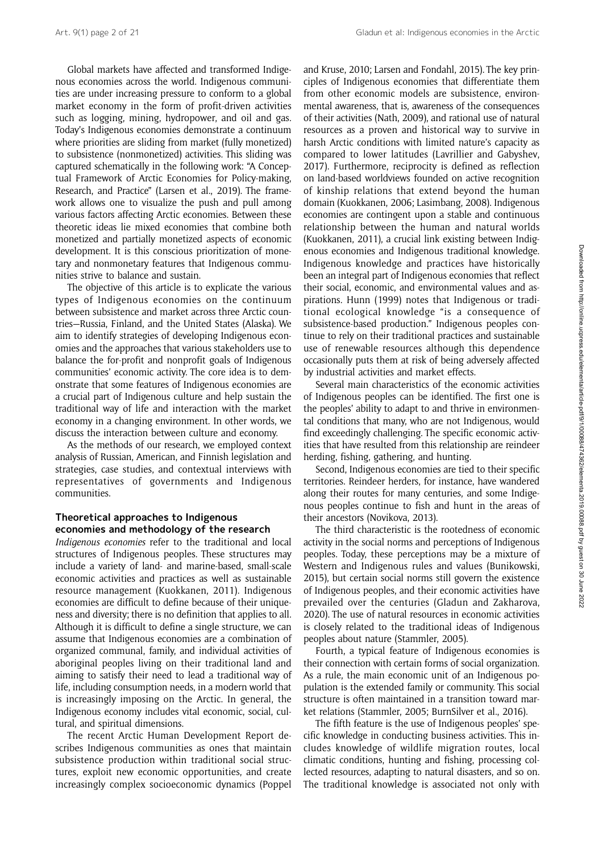Global markets have affected and transformed Indigenous economies across the world. Indigenous communities are under increasing pressure to conform to a global market economy in the form of profit-driven activities such as logging, mining, hydropower, and oil and gas. Today's Indigenous economies demonstrate a continuum where priorities are sliding from market (fully monetized) to subsistence (nonmonetized) activities. This sliding was captured schematically in the following work: "A Conceptual Framework of Arctic Economies for Policy-making, Research, and Practice" (Larsen et al., 2019). The framework allows one to visualize the push and pull among various factors affecting Arctic economies. Between these theoretic ideas lie mixed economies that combine both monetized and partially monetized aspects of economic development. It is this conscious prioritization of monetary and nonmonetary features that Indigenous communities strive to balance and sustain.

The objective of this article is to explicate the various types of Indigenous economies on the continuum between subsistence and market across three Arctic countries—Russia, Finland, and the United States (Alaska). We aim to identify strategies of developing Indigenous economies and the approaches that various stakeholders use to balance the for-profit and nonprofit goals of Indigenous communities' economic activity. The core idea is to demonstrate that some features of Indigenous economies are a crucial part of Indigenous culture and help sustain the traditional way of life and interaction with the market economy in a changing environment. In other words, we discuss the interaction between culture and economy.

As the methods of our research, we employed context analysis of Russian, American, and Finnish legislation and strategies, case studies, and contextual interviews with representatives of governments and Indigenous communities.

## Theoretical approaches to Indigenous economies and methodology of the research

Indigenous economies refer to the traditional and local structures of Indigenous peoples. These structures may include a variety of land- and marine-based, small-scale economic activities and practices as well as sustainable resource management (Kuokkanen, 2011). Indigenous economies are difficult to define because of their uniqueness and diversity; there is no definition that applies to all. Although it is difficult to define a single structure, we can assume that Indigenous economies are a combination of organized communal, family, and individual activities of aboriginal peoples living on their traditional land and aiming to satisfy their need to lead a traditional way of life, including consumption needs, in a modern world that is increasingly imposing on the Arctic. In general, the Indigenous economy includes vital economic, social, cultural, and spiritual dimensions.

The recent Arctic Human Development Report describes Indigenous communities as ones that maintain subsistence production within traditional social structures, exploit new economic opportunities, and create increasingly complex socioeconomic dynamics (Poppel and Kruse, 2010; Larsen and Fondahl, 2015). The key principles of Indigenous economies that differentiate them from other economic models are subsistence, environmental awareness, that is, awareness of the consequences of their activities (Nath, 2009), and rational use of natural resources as a proven and historical way to survive in harsh Arctic conditions with limited nature's capacity as compared to lower latitudes (Lavrillier and Gabyshev, 2017). Furthermore, reciprocity is defined as reflection on land-based worldviews founded on active recognition of kinship relations that extend beyond the human domain (Kuokkanen, 2006; Lasimbang, 2008). Indigenous economies are contingent upon a stable and continuous relationship between the human and natural worlds (Kuokkanen, 2011), a crucial link existing between Indigenous economies and Indigenous traditional knowledge. Indigenous knowledge and practices have historically been an integral part of Indigenous economies that reflect their social, economic, and environmental values and aspirations. Hunn (1999) notes that Indigenous or traditional ecological knowledge "is a consequence of subsistence-based production." Indigenous peoples continue to rely on their traditional practices and sustainable use of renewable resources although this dependence occasionally puts them at risk of being adversely affected by industrial activities and market effects.

Several main characteristics of the economic activities of Indigenous peoples can be identified. The first one is the peoples' ability to adapt to and thrive in environmental conditions that many, who are not Indigenous, would find exceedingly challenging. The specific economic activities that have resulted from this relationship are reindeer herding, fishing, gathering, and hunting.

Second, Indigenous economies are tied to their specific territories. Reindeer herders, for instance, have wandered along their routes for many centuries, and some Indigenous peoples continue to fish and hunt in the areas of their ancestors (Novikova, 2013).

The third characteristic is the rootedness of economic activity in the social norms and perceptions of Indigenous peoples. Today, these perceptions may be a mixture of Western and Indigenous rules and values (Bunikowski, 2015), but certain social norms still govern the existence of Indigenous peoples, and their economic activities have prevailed over the centuries (Gladun and Zakharova, 2020). The use of natural resources in economic activities is closely related to the traditional ideas of Indigenous peoples about nature (Stammler, 2005).

Fourth, a typical feature of Indigenous economies is their connection with certain forms of social organization. As a rule, the main economic unit of an Indigenous population is the extended family or community. This social structure is often maintained in a transition toward market relations (Stammler, 2005; BurnSilver et al., 2016).

The fifth feature is the use of Indigenous peoples' specific knowledge in conducting business activities. This includes knowledge of wildlife migration routes, local climatic conditions, hunting and fishing, processing collected resources, adapting to natural disasters, and so on. The traditional knowledge is associated not only with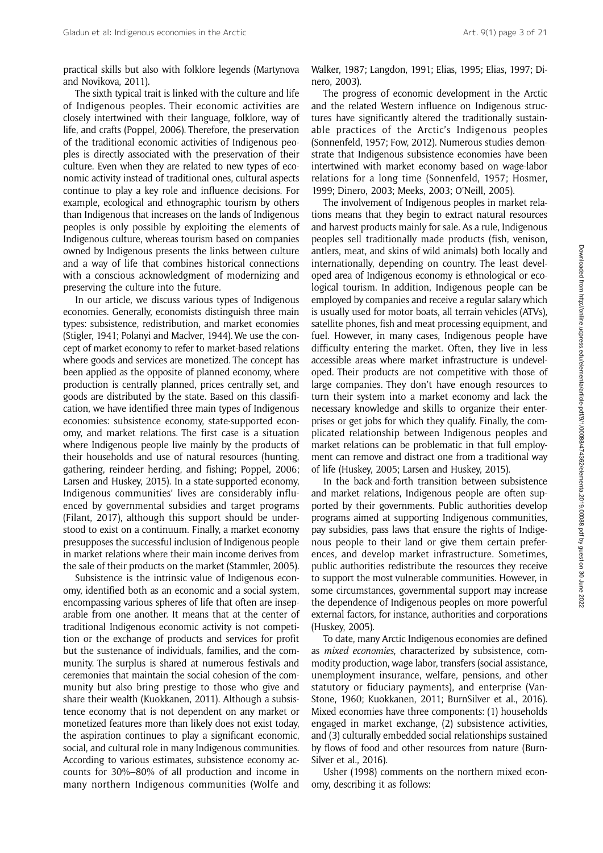practical skills but also with folklore legends (Martynova and Novikova, 2011).

The sixth typical trait is linked with the culture and life of Indigenous peoples. Their economic activities are closely intertwined with their language, folklore, way of life, and crafts (Poppel, 2006). Therefore, the preservation of the traditional economic activities of Indigenous peoples is directly associated with the preservation of their culture. Even when they are related to new types of economic activity instead of traditional ones, cultural aspects continue to play a key role and influence decisions. For example, ecological and ethnographic tourism by others than Indigenous that increases on the lands of Indigenous peoples is only possible by exploiting the elements of Indigenous culture, whereas tourism based on companies owned by Indigenous presents the links between culture and a way of life that combines historical connections with a conscious acknowledgment of modernizing and preserving the culture into the future.

In our article, we discuss various types of Indigenous economies. Generally, economists distinguish three main types: subsistence, redistribution, and market economies (Stigler, 1941; Polanyi and Maclver, 1944). We use the concept of market economy to refer to market-based relations where goods and services are monetized. The concept has been applied as the opposite of planned economy, where production is centrally planned, prices centrally set, and goods are distributed by the state. Based on this classification, we have identified three main types of Indigenous economies: subsistence economy, state-supported economy, and market relations. The first case is a situation where Indigenous people live mainly by the products of their households and use of natural resources (hunting, gathering, reindeer herding, and fishing; Poppel, 2006; Larsen and Huskey, 2015). In a state-supported economy, Indigenous communities' lives are considerably influenced by governmental subsidies and target programs (Filant, 2017), although this support should be understood to exist on a continuum. Finally, a market economy presupposes the successful inclusion of Indigenous people in market relations where their main income derives from the sale of their products on the market (Stammler, 2005).

Subsistence is the intrinsic value of Indigenous economy, identified both as an economic and a social system, encompassing various spheres of life that often are inseparable from one another. It means that at the center of traditional Indigenous economic activity is not competition or the exchange of products and services for profit but the sustenance of individuals, families, and the community. The surplus is shared at numerous festivals and ceremonies that maintain the social cohesion of the community but also bring prestige to those who give and share their wealth (Kuokkanen, 2011). Although a subsistence economy that is not dependent on any market or monetized features more than likely does not exist today, the aspiration continues to play a significant economic, social, and cultural role in many Indigenous communities. According to various estimates, subsistence economy accounts for 30%–80% of all production and income in many northern Indigenous communities (Wolfe and

Walker, 1987; Langdon, 1991; Elias, 1995; Elias, 1997; Dinero, 2003).

The progress of economic development in the Arctic and the related Western influence on Indigenous structures have significantly altered the traditionally sustainable practices of the Arctic's Indigenous peoples (Sonnenfeld, 1957; Fow, 2012). Numerous studies demonstrate that Indigenous subsistence economies have been intertwined with market economy based on wage-labor relations for a long time (Sonnenfeld, 1957; Hosmer, 1999; Dinero, 2003; Meeks, 2003; O'Neill, 2005).

The involvement of Indigenous peoples in market relations means that they begin to extract natural resources and harvest products mainly for sale. As a rule, Indigenous peoples sell traditionally made products (fish, venison, antlers, meat, and skins of wild animals) both locally and internationally, depending on country. The least developed area of Indigenous economy is ethnological or ecological tourism. In addition, Indigenous people can be employed by companies and receive a regular salary which is usually used for motor boats, all terrain vehicles (ATVs), satellite phones, fish and meat processing equipment, and fuel. However, in many cases, Indigenous people have difficulty entering the market. Often, they live in less accessible areas where market infrastructure is undeveloped. Their products are not competitive with those of large companies. They don't have enough resources to turn their system into a market economy and lack the necessary knowledge and skills to organize their enterprises or get jobs for which they qualify. Finally, the complicated relationship between Indigenous peoples and market relations can be problematic in that full employment can remove and distract one from a traditional way of life (Huskey, 2005; Larsen and Huskey, 2015).

In the back-and-forth transition between subsistence and market relations, Indigenous people are often supported by their governments. Public authorities develop programs aimed at supporting Indigenous communities, pay subsidies, pass laws that ensure the rights of Indigenous people to their land or give them certain preferences, and develop market infrastructure. Sometimes, public authorities redistribute the resources they receive to support the most vulnerable communities. However, in some circumstances, governmental support may increase the dependence of Indigenous peoples on more powerful external factors, for instance, authorities and corporations (Huskey, 2005).

To date, many Arctic Indigenous economies are defined as mixed economies, characterized by subsistence, commodity production, wage labor, transfers (social assistance, unemployment insurance, welfare, pensions, and other statutory or fiduciary payments), and enterprise (Van-Stone, 1960; Kuokkanen, 2011; BurnSilver et al., 2016). Mixed economies have three components: (1) households engaged in market exchange, (2) subsistence activities, and (3) culturally embedded social relationships sustained by flows of food and other resources from nature (Burn-Silver et al., 2016).

Usher (1998) comments on the northern mixed economy, describing it as follows: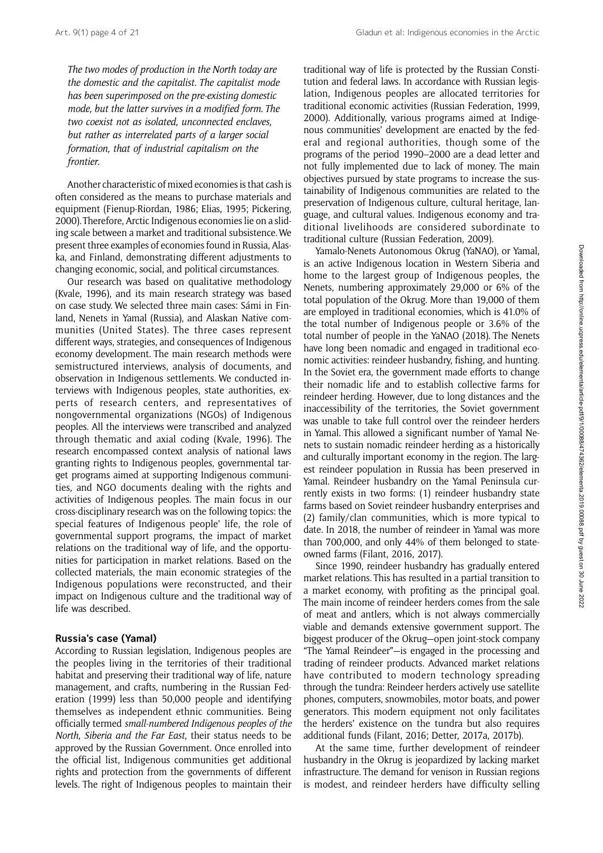Art. 9(1) page 4 of 21 Gladun et al: Indigenous economies in the Arctic

The two modes of production in the North today are the domestic and the capitalist. The capitalist mode has been superimposed on the pre-existing domestic mode, but the latter survives in a modified form. The two coexist not as isolated, unconnected enclaves, but rather as interrelated parts of a larger social formation, that of industrial capitalism on the frontier.

Another characteristic of mixed economies is that cash is often considered as the means to purchase materials and equipment (Fienup-Riordan, 1986; Elias, 1995; Pickering, 2000). Therefore, Arctic Indigenous economies lie on a sliding scale between a market and traditional subsistence. We present three examples of economies found in Russia, Alaska, and Finland, demonstrating different adjustments to changing economic, social, and political circumstances.

Our research was based on qualitative methodology (Kvale, 1996), and its main research strategy was based on case study. We selected three main cases: Sámi in Finland, Nenets in Yamal (Russia), and Alaskan Native communities (United States). The three cases represent different ways, strategies, and consequences of Indigenous economy development. The main research methods were semistructured interviews, analysis of documents, and observation in Indigenous settlements. We conducted interviews with Indigenous peoples, state authorities, experts of research centers, and representatives of nongovernmental organizations (NGOs) of Indigenous peoples. All the interviews were transcribed and analyzed through thematic and axial coding (Kvale, 1996). The research encompassed context analysis of national laws granting rights to Indigenous peoples, governmental target programs aimed at supporting Indigenous communities, and NGO documents dealing with the rights and activities of Indigenous peoples. The main focus in our cross-disciplinary research was on the following topics: the special features of Indigenous people' life, the role of governmental support programs, the impact of market relations on the traditional way of life, and the opportunities for participation in market relations. Based on the collected materials, the main economic strategies of the Indigenous populations were reconstructed, and their impact on Indigenous culture and the traditional way of life was described.

## Russia's case (Yamal)

According to Russian legislation, Indigenous peoples are the peoples living in the territories of their traditional habitat and preserving their traditional way of life, nature management, and crafts, numbering in the Russian Federation (1999) less than 50,000 people and identifying themselves as independent ethnic communities. Being officially termed small-numbered Indigenous peoples of the North, Siberia and the Far East, their status needs to be approved by the Russian Government. Once enrolled into the official list, Indigenous communities get additional rights and protection from the governments of different levels. The right of Indigenous peoples to maintain their

traditional way of life is protected by the Russian Constitution and federal laws. In accordance with Russian legislation, Indigenous peoples are allocated territories for traditional economic activities (Russian Federation, 1999, 2000). Additionally, various programs aimed at Indigenous communities' development are enacted by the federal and regional authorities, though some of the programs of the period 1990–2000 are a dead letter and not fully implemented due to lack of money. The main objectives pursued by state programs to increase the sustainability of Indigenous communities are related to the preservation of Indigenous culture, cultural heritage, language, and cultural values. Indigenous economy and traditional livelihoods are considered subordinate to traditional culture (Russian Federation, 2009).

Yamalo-Nenets Autonomous Okrug (YaNAO), or Yamal, is an active Indigenous location in Western Siberia and home to the largest group of Indigenous peoples, the Nenets, numbering approximately 29,000 or 6% of the total population of the Okrug. More than 19,000 of them are employed in traditional economies, which is 41.0% of the total number of Indigenous people or 3.6% of the total number of people in the YaNAO (2018). The Nenets have long been nomadic and engaged in traditional economic activities: reindeer husbandry, fishing, and hunting. In the Soviet era, the government made efforts to change their nomadic life and to establish collective farms for reindeer herding. However, due to long distances and the inaccessibility of the territories, the Soviet government was unable to take full control over the reindeer herders in Yamal. This allowed a significant number of Yamal Nenets to sustain nomadic reindeer herding as a historically and culturally important economy in the region. The largest reindeer population in Russia has been preserved in Yamal. Reindeer husbandry on the Yamal Peninsula currently exists in two forms: (1) reindeer husbandry state farms based on Soviet reindeer husbandry enterprises and (2) family/clan communities, which is more typical to date. In 2018, the number of reindeer in Yamal was more than 700,000, and only 44% of them belonged to stateowned farms (Filant, 2016, 2017).

Since 1990, reindeer husbandry has gradually entered market relations. This has resulted in a partial transition to a market economy, with profiting as the principal goal. The main income of reindeer herders comes from the sale of meat and antlers, which is not always commercially viable and demands extensive government support. The biggest producer of the Okrug—open joint-stock company "The Yamal Reindeer"—is engaged in the processing and trading of reindeer products. Advanced market relations have contributed to modern technology spreading through the tundra: Reindeer herders actively use satellite phones, computers, snowmobiles, motor boats, and power generators. This modern equipment not only facilitates the herders' existence on the tundra but also requires additional funds (Filant, 2016; Detter, 2017a, 2017b).

At the same time, further development of reindeer husbandry in the Okrug is jeopardized by lacking market infrastructure. The demand for venison in Russian regions is modest, and reindeer herders have difficulty selling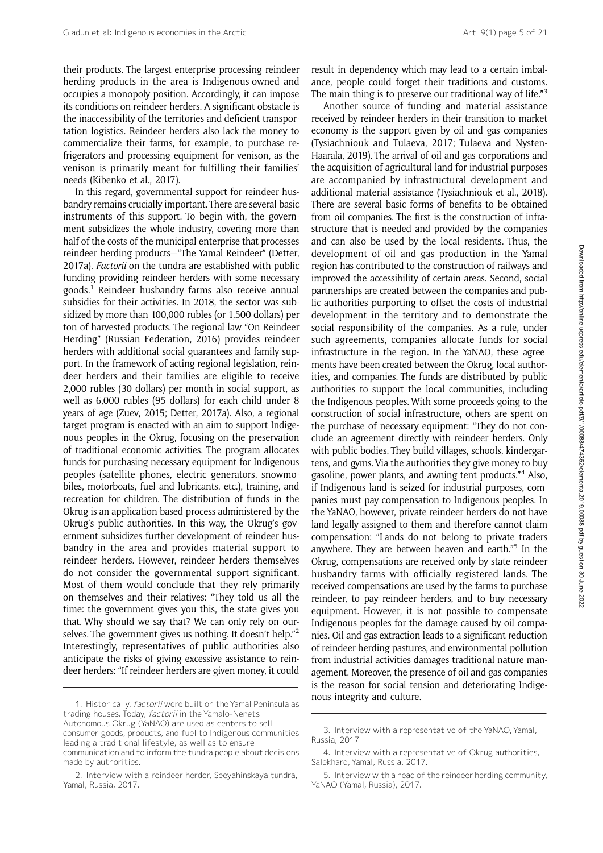their products. The largest enterprise processing reindeer herding products in the area is Indigenous-owned and occupies a monopoly position. Accordingly, it can impose its conditions on reindeer herders. A significant obstacle is the inaccessibility of the territories and deficient transportation logistics. Reindeer herders also lack the money to commercialize their farms, for example, to purchase refrigerators and processing equipment for venison, as the venison is primarily meant for fulfilling their families' needs (Kibenko et al., 2017).

In this regard, governmental support for reindeer husbandry remains crucially important. There are several basic instruments of this support. To begin with, the government subsidizes the whole industry, covering more than half of the costs of the municipal enterprise that processes reindeer herding products—"The Yamal Reindeer" (Detter, 2017a). Factorii on the tundra are established with public funding providing reindeer herders with some necessary goods.1 Reindeer husbandry farms also receive annual subsidies for their activities. In 2018, the sector was subsidized by more than 100,000 rubles (or 1,500 dollars) per ton of harvested products. The regional law "On Reindeer Herding" (Russian Federation, 2016) provides reindeer herders with additional social guarantees and family support. In the framework of acting regional legislation, reindeer herders and their families are eligible to receive 2,000 rubles (30 dollars) per month in social support, as well as 6,000 rubles (95 dollars) for each child under 8 years of age (Zuev, 2015; Detter, 2017a). Also, a regional target program is enacted with an aim to support Indigenous peoples in the Okrug, focusing on the preservation of traditional economic activities. The program allocates funds for purchasing necessary equipment for Indigenous peoples (satellite phones, electric generators, snowmobiles, motorboats, fuel and lubricants, etc.), training, and recreation for children. The distribution of funds in the Okrug is an application-based process administered by the Okrug's public authorities. In this way, the Okrug's government subsidizes further development of reindeer husbandry in the area and provides material support to reindeer herders. However, reindeer herders themselves do not consider the governmental support significant. Most of them would conclude that they rely primarily on themselves and their relatives: "They told us all the time: the government gives you this, the state gives you that. Why should we say that? We can only rely on ourselves. The government gives us nothing. It doesn't help."<sup>2</sup> Interestingly, representatives of public authorities also anticipate the risks of giving excessive assistance to reindeer herders: "If reindeer herders are given money, it could

result in dependency which may lead to a certain imbalance, people could forget their traditions and customs. The main thing is to preserve our traditional way of life."<sup>3</sup>

Another source of funding and material assistance received by reindeer herders in their transition to market economy is the support given by oil and gas companies (Tysiachniouk and Tulaeva, 2017; Tulaeva and Nysten-Haarala, 2019). The arrival of oil and gas corporations and the acquisition of agricultural land for industrial purposes are accompanied by infrastructural development and additional material assistance (Tysiachniouk et al., 2018). There are several basic forms of benefits to be obtained from oil companies. The first is the construction of infrastructure that is needed and provided by the companies and can also be used by the local residents. Thus, the development of oil and gas production in the Yamal region has contributed to the construction of railways and improved the accessibility of certain areas. Second, social partnerships are created between the companies and public authorities purporting to offset the costs of industrial development in the territory and to demonstrate the social responsibility of the companies. As a rule, under such agreements, companies allocate funds for social infrastructure in the region. In the YaNAO, these agreements have been created between the Okrug, local authorities, and companies. The funds are distributed by public authorities to support the local communities, including the Indigenous peoples. With some proceeds going to the construction of social infrastructure, others are spent on the purchase of necessary equipment: "They do not conclude an agreement directly with reindeer herders. Only with public bodies. They build villages, schools, kindergartens, and gyms. Via the authorities they give money to buy gasoline, power plants, and awning tent products."<sup>4</sup> Also, if Indigenous land is seized for industrial purposes, companies must pay compensation to Indigenous peoples. In the YaNAO, however, private reindeer herders do not have land legally assigned to them and therefore cannot claim compensation: "Lands do not belong to private traders anywhere. They are between heaven and earth." <sup>5</sup> In the Okrug, compensations are received only by state reindeer husbandry farms with officially registered lands. The received compensations are used by the farms to purchase reindeer, to pay reindeer herders, and to buy necessary equipment. However, it is not possible to compensate Indigenous peoples for the damage caused by oil companies. Oil and gas extraction leads to a significant reduction of reindeer herding pastures, and environmental pollution from industrial activities damages traditional nature management. Moreover, the presence of oil and gas companies is the reason for social tension and deteriorating Indige-

nous integrity and culture.<br>1. Historically, factorii were built on the Yamal Peninsula as trading houses. Today, factorii in the Yamalo-Nenets Autonomous Okrug (YaNAO) are used as centers to sell consumer goods, products, and fuel to Indigenous communities leading a traditional lifestyle, as well as to ensure communication and to inform the tundra people about decisions made by authorities.

<sup>2.</sup> Interview with a reindeer herder, Seeyahinskaya tundra, Yamal, Russia, 2017.

<sup>3.</sup> Interview with a representative of the YaNAO, Yamal, Russia, 2017.

<sup>4.</sup> Interview with a representative of Okrug authorities, Salekhard, Yamal, Russia, 2017.

<sup>5.</sup> Interview with a head of the reindeer herding community, YaNAO (Yamal, Russia), 2017.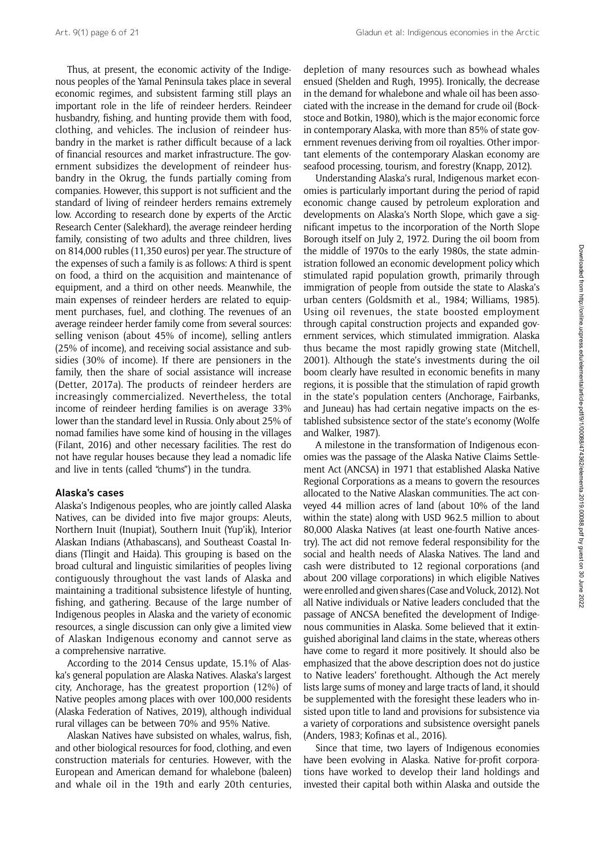Thus, at present, the economic activity of the Indigenous peoples of the Yamal Peninsula takes place in several economic regimes, and subsistent farming still plays an important role in the life of reindeer herders. Reindeer husbandry, fishing, and hunting provide them with food, clothing, and vehicles. The inclusion of reindeer husbandry in the market is rather difficult because of a lack of financial resources and market infrastructure. The government subsidizes the development of reindeer husbandry in the Okrug, the funds partially coming from companies. However, this support is not sufficient and the standard of living of reindeer herders remains extremely low. According to research done by experts of the Arctic Research Center (Salekhard), the average reindeer herding family, consisting of two adults and three children, lives on 814,000 rubles (11,350 euros) per year. The structure of the expenses of such a family is as follows: A third is spent on food, a third on the acquisition and maintenance of equipment, and a third on other needs. Meanwhile, the main expenses of reindeer herders are related to equipment purchases, fuel, and clothing. The revenues of an average reindeer herder family come from several sources: selling venison (about 45% of income), selling antlers (25% of income), and receiving social assistance and subsidies (30% of income). If there are pensioners in the family, then the share of social assistance will increase (Detter, 2017a). The products of reindeer herders are increasingly commercialized. Nevertheless, the total income of reindeer herding families is on average 33% lower than the standard level in Russia. Only about 25% of nomad families have some kind of housing in the villages (Filant, 2016) and other necessary facilities. The rest do not have regular houses because they lead a nomadic life and live in tents (called "chums") in the tundra.

#### Alaska's cases

Alaska's Indigenous peoples, who are jointly called Alaska Natives, can be divided into five major groups: Aleuts, Northern Inuit (Inupiat), Southern Inuit (Yup'ik), Interior Alaskan Indians (Athabascans), and Southeast Coastal Indians (Tlingit and Haida). This grouping is based on the broad cultural and linguistic similarities of peoples living contiguously throughout the vast lands of Alaska and maintaining a traditional subsistence lifestyle of hunting, fishing, and gathering. Because of the large number of Indigenous peoples in Alaska and the variety of economic resources, a single discussion can only give a limited view of Alaskan Indigenous economy and cannot serve as a comprehensive narrative.

According to the 2014 Census update, 15.1% of Alaska's general population are Alaska Natives. Alaska's largest city, Anchorage, has the greatest proportion (12%) of Native peoples among places with over 100,000 residents (Alaska Federation of Natives, 2019), although individual rural villages can be between 70% and 95% Native.

Alaskan Natives have subsisted on whales, walrus, fish, and other biological resources for food, clothing, and even construction materials for centuries. However, with the European and American demand for whalebone (baleen) and whale oil in the 19th and early 20th centuries, depletion of many resources such as bowhead whales ensued (Shelden and Rugh, 1995). Ironically, the decrease in the demand for whalebone and whale oil has been associated with the increase in the demand for crude oil (Bockstoce and Botkin, 1980), which is the major economic force in contemporary Alaska, with more than 85% of state government revenues deriving from oil royalties. Other important elements of the contemporary Alaskan economy are seafood processing, tourism, and forestry (Knapp, 2012).

Understanding Alaska's rural, Indigenous market economies is particularly important during the period of rapid economic change caused by petroleum exploration and developments on Alaska's North Slope, which gave a significant impetus to the incorporation of the North Slope Borough itself on July 2, 1972. During the oil boom from the middle of 1970s to the early 1980s, the state administration followed an economic development policy which stimulated rapid population growth, primarily through immigration of people from outside the state to Alaska's urban centers (Goldsmith et al., 1984; Williams, 1985). Using oil revenues, the state boosted employment through capital construction projects and expanded government services, which stimulated immigration. Alaska thus became the most rapidly growing state (Mitchell, 2001). Although the state's investments during the oil boom clearly have resulted in economic benefits in many regions, it is possible that the stimulation of rapid growth in the state's population centers (Anchorage, Fairbanks, and Juneau) has had certain negative impacts on the established subsistence sector of the state's economy (Wolfe and Walker, 1987).

A milestone in the transformation of Indigenous economies was the passage of the Alaska Native Claims Settlement Act (ANCSA) in 1971 that established Alaska Native Regional Corporations as a means to govern the resources allocated to the Native Alaskan communities. The act conveyed 44 million acres of land (about 10% of the land within the state) along with USD 962.5 million to about 80,000 Alaska Natives (at least one-fourth Native ancestry). The act did not remove federal responsibility for the social and health needs of Alaska Natives. The land and cash were distributed to 12 regional corporations (and about 200 village corporations) in which eligible Natives were enrolled and given shares (Case and Voluck, 2012). Not all Native individuals or Native leaders concluded that the passage of ANCSA benefited the development of Indigenous communities in Alaska. Some believed that it extinguished aboriginal land claims in the state, whereas others have come to regard it more positively. It should also be emphasized that the above description does not do justice to Native leaders' forethought. Although the Act merely lists large sums of money and large tracts of land, it should be supplemented with the foresight these leaders who insisted upon title to land and provisions for subsistence via a variety of corporations and subsistence oversight panels (Anders, 1983; Kofinas et al., 2016).

Since that time, two layers of Indigenous economies have been evolving in Alaska. Native for-profit corporations have worked to develop their land holdings and invested their capital both within Alaska and outside the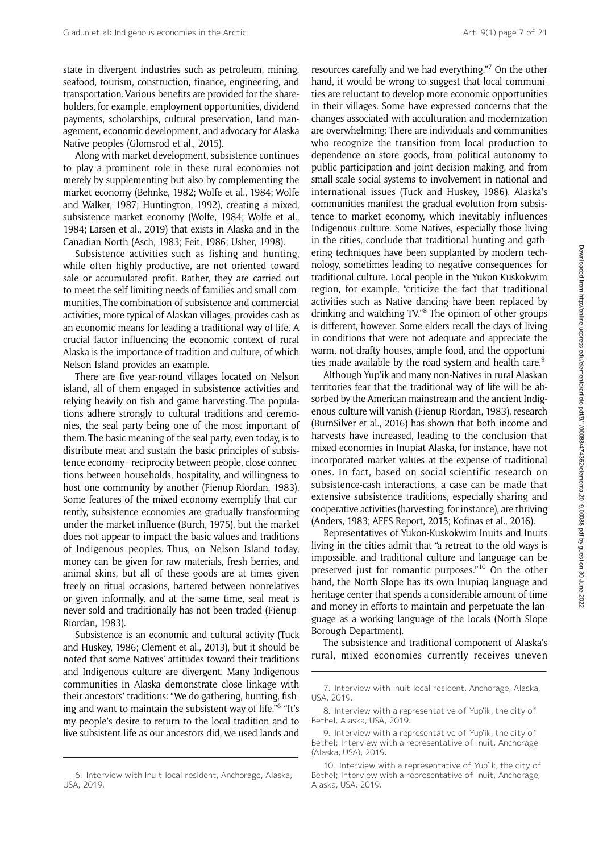state in divergent industries such as petroleum, mining, seafood, tourism, construction, finance, engineering, and transportation. Various benefits are provided for the shareholders, for example, employment opportunities, dividend payments, scholarships, cultural preservation, land management, economic development, and advocacy for Alaska Native peoples (Glomsrod et al., 2015).

Along with market development, subsistence continues to play a prominent role in these rural economies not merely by supplementing but also by complementing the market economy (Behnke, 1982; Wolfe et al., 1984; Wolfe and Walker, 1987; Huntington, 1992), creating a mixed, subsistence market economy (Wolfe, 1984; Wolfe et al., 1984; Larsen et al., 2019) that exists in Alaska and in the Canadian North (Asch, 1983; Feit, 1986; Usher, 1998).

Subsistence activities such as fishing and hunting, while often highly productive, are not oriented toward sale or accumulated profit. Rather, they are carried out to meet the self-limiting needs of families and small communities. The combination of subsistence and commercial activities, more typical of Alaskan villages, provides cash as an economic means for leading a traditional way of life. A crucial factor influencing the economic context of rural Alaska is the importance of tradition and culture, of which Nelson Island provides an example.

There are five year-round villages located on Nelson island, all of them engaged in subsistence activities and relying heavily on fish and game harvesting. The populations adhere strongly to cultural traditions and ceremonies, the seal party being one of the most important of them. The basic meaning of the seal party, even today, is to distribute meat and sustain the basic principles of subsistence economy—reciprocity between people, close connections between households, hospitality, and willingness to host one community by another (Fienup-Riordan, 1983). Some features of the mixed economy exemplify that currently, subsistence economies are gradually transforming under the market influence (Burch, 1975), but the market does not appear to impact the basic values and traditions of Indigenous peoples. Thus, on Nelson Island today, money can be given for raw materials, fresh berries, and animal skins, but all of these goods are at times given freely on ritual occasions, bartered between nonrelatives or given informally, and at the same time, seal meat is never sold and traditionally has not been traded (Fienup-Riordan, 1983).

Subsistence is an economic and cultural activity (Tuck and Huskey, 1986; Clement et al., 2013), but it should be noted that some Natives' attitudes toward their traditions and Indigenous culture are divergent. Many Indigenous communities in Alaska demonstrate close linkage with their ancestors' traditions: "We do gathering, hunting, fishing and want to maintain the subsistent way of life." <sup>6</sup> "It's my people's desire to return to the local tradition and to live subsistent life as our ancestors did, we used lands and

resources carefully and we had everything." <sup>7</sup> On the other hand, it would be wrong to suggest that local communities are reluctant to develop more economic opportunities in their villages. Some have expressed concerns that the changes associated with acculturation and modernization are overwhelming: There are individuals and communities who recognize the transition from local production to dependence on store goods, from political autonomy to public participation and joint decision making, and from small-scale social systems to involvement in national and international issues (Tuck and Huskey, 1986). Alaska's communities manifest the gradual evolution from subsistence to market economy, which inevitably influences Indigenous culture. Some Natives, especially those living in the cities, conclude that traditional hunting and gathering techniques have been supplanted by modern technology, sometimes leading to negative consequences for traditional culture. Local people in the Yukon-Kuskokwim region, for example, "criticize the fact that traditional activities such as Native dancing have been replaced by drinking and watching TV."<sup>8</sup> The opinion of other groups is different, however. Some elders recall the days of living in conditions that were not adequate and appreciate the warm, not drafty houses, ample food, and the opportunities made available by the road system and health care.<sup>9</sup>

Although Yup'ik and many non-Natives in rural Alaskan territories fear that the traditional way of life will be absorbed by the American mainstream and the ancient Indigenous culture will vanish (Fienup-Riordan, 1983), research (BurnSilver et al., 2016) has shown that both income and harvests have increased, leading to the conclusion that mixed economies in Inupiat Alaska, for instance, have not incorporated market values at the expense of traditional ones. In fact, based on social-scientific research on subsistence-cash interactions, a case can be made that extensive subsistence traditions, especially sharing and cooperative activities (harvesting, for instance), are thriving (Anders, 1983; AFES Report, 2015; Kofinas et al., 2016).

Representatives of Yukon-Kuskokwim Inuits and Inuits living in the cities admit that "a retreat to the old ways is impossible, and traditional culture and language can be preserved just for romantic purposes."<sup>10</sup> On the other hand, the North Slope has its own Inupiaq language and heritage center that spends a considerable amount of time and money in efforts to maintain and perpetuate the language as a working language of the locals (North Slope Borough Department).

The subsistence and traditional component of Alaska's rural, mixed economies currently receives uneven

<sup>6.</sup> Interview with Inuit local resident, Anchorage, Alaska, USA, 2019.

<sup>7.</sup> Interview with Inuit local resident, Anchorage, Alaska, USA, 2019.

<sup>8.</sup> Interview with a representative of Yup'ik, the city of Bethel, Alaska, USA, 2019.

<sup>9.</sup> Interview with a representative of Yup'ik, the city of Bethel; Interview with a representative of Inuit, Anchorage (Alaska, USA), 2019.

<sup>10.</sup> Interview with a representative of Yup'ik, the city of Bethel; Interview with a representative of Inuit, Anchorage, Alaska, USA, 2019.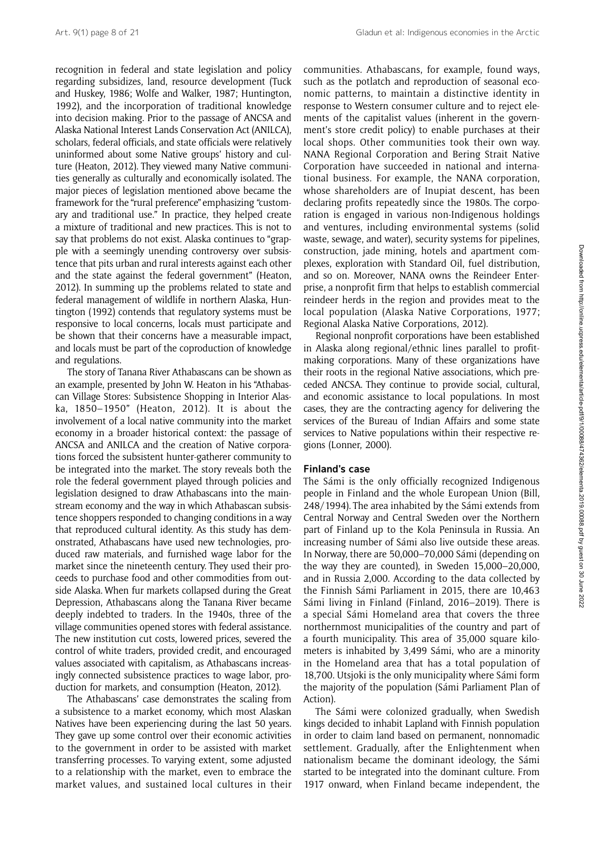recognition in federal and state legislation and policy regarding subsidizes, land, resource development (Tuck and Huskey, 1986; Wolfe and Walker, 1987; Huntington, 1992), and the incorporation of traditional knowledge into decision making. Prior to the passage of ANCSA and Alaska National Interest Lands Conservation Act (ANILCA), scholars, federal officials, and state officials were relatively uninformed about some Native groups' history and culture (Heaton, 2012). They viewed many Native communities generally as culturally and economically isolated. The major pieces of legislation mentioned above became the framework for the "rural preference" emphasizing "customary and traditional use." In practice, they helped create a mixture of traditional and new practices. This is not to say that problems do not exist. Alaska continues to "grapple with a seemingly unending controversy over subsistence that pits urban and rural interests against each other and the state against the federal government" (Heaton, 2012). In summing up the problems related to state and federal management of wildlife in northern Alaska, Huntington (1992) contends that regulatory systems must be responsive to local concerns, locals must participate and be shown that their concerns have a measurable impact, and locals must be part of the coproduction of knowledge and regulations.

The story of Tanana River Athabascans can be shown as an example, presented by John W. Heaton in his "Athabascan Village Stores: Subsistence Shopping in Interior Alaska, 1850–1950" (Heaton, 2012). It is about the involvement of a local native community into the market economy in a broader historical context: the passage of ANCSA and ANILCA and the creation of Native corporations forced the subsistent hunter-gatherer community to be integrated into the market. The story reveals both the role the federal government played through policies and legislation designed to draw Athabascans into the mainstream economy and the way in which Athabascan subsistence shoppers responded to changing conditions in a way that reproduced cultural identity. As this study has demonstrated, Athabascans have used new technologies, produced raw materials, and furnished wage labor for the market since the nineteenth century. They used their proceeds to purchase food and other commodities from outside Alaska. When fur markets collapsed during the Great Depression, Athabascans along the Tanana River became deeply indebted to traders. In the 1940s, three of the village communities opened stores with federal assistance. The new institution cut costs, lowered prices, severed the control of white traders, provided credit, and encouraged values associated with capitalism, as Athabascans increasingly connected subsistence practices to wage labor, production for markets, and consumption (Heaton, 2012).

The Athabascans' case demonstrates the scaling from a subsistence to a market economy, which most Alaskan Natives have been experiencing during the last 50 years. They gave up some control over their economic activities to the government in order to be assisted with market transferring processes. To varying extent, some adjusted to a relationship with the market, even to embrace the market values, and sustained local cultures in their communities. Athabascans, for example, found ways, such as the potlatch and reproduction of seasonal economic patterns, to maintain a distinctive identity in response to Western consumer culture and to reject elements of the capitalist values (inherent in the government's store credit policy) to enable purchases at their local shops. Other communities took their own way. NANA Regional Corporation and Bering Strait Native Corporation have succeeded in national and international business. For example, the NANA corporation, whose shareholders are of Inupiat descent, has been declaring profits repeatedly since the 1980s. The corporation is engaged in various non-Indigenous holdings and ventures, including environmental systems (solid waste, sewage, and water), security systems for pipelines, construction, jade mining, hotels and apartment complexes, exploration with Standard Oil, fuel distribution, and so on. Moreover, NANA owns the Reindeer Enterprise, a nonprofit firm that helps to establish commercial reindeer herds in the region and provides meat to the local population (Alaska Native Corporations, 1977; Regional Alaska Native Corporations, 2012).

Regional nonprofit corporations have been established in Alaska along regional/ethnic lines parallel to profitmaking corporations. Many of these organizations have their roots in the regional Native associations, which preceded ANCSA. They continue to provide social, cultural, and economic assistance to local populations. In most cases, they are the contracting agency for delivering the services of the Bureau of Indian Affairs and some state services to Native populations within their respective regions (Lonner, 2000).

#### Finland's case

The Sámi is the only officially recognized Indigenous people in Finland and the whole European Union (Bill, 248/1994). The area inhabited by the Sámi extends from Central Norway and Central Sweden over the Northern part of Finland up to the Kola Peninsula in Russia. An increasing number of Sámi also live outside these areas. In Norway, there are 50,000–70,000 Sámi (depending on the way they are counted), in Sweden 15,000–20,000, and in Russia 2,000. According to the data collected by the Finnish Sámi Parliament in 2015, there are 10,463 Sámi living in Finland (Finland, 2016–2019). There is a special Sámi Homeland area that covers the three northernmost municipalities of the country and part of a fourth municipality. This area of 35,000 square kilometers is inhabited by 3,499 Sámi, who are a minority in the Homeland area that has a total population of 18,700. Utsjoki is the only municipality where Sámi form the majority of the population (Sámi Parliament Plan of Action).

The Sámi were colonized gradually, when Swedish kings decided to inhabit Lapland with Finnish population in order to claim land based on permanent, nonnomadic settlement. Gradually, after the Enlightenment when nationalism became the dominant ideology, the Sámi started to be integrated into the dominant culture. From 1917 onward, when Finland became independent, the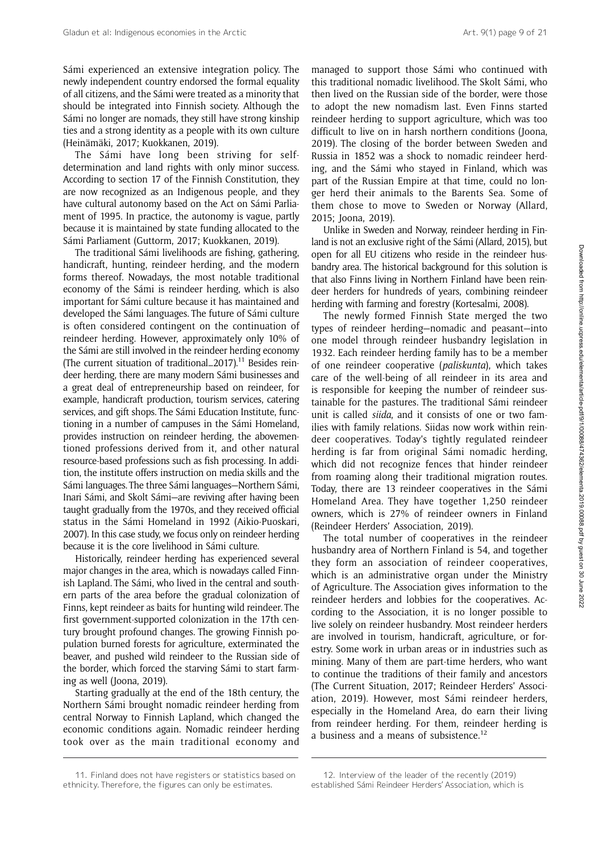Sámi experienced an extensive integration policy. The newly independent country endorsed the formal equality of all citizens, and the Sámi were treated as a minority that should be integrated into Finnish society. Although the Sámi no longer are nomads, they still have strong kinship ties and a strong identity as a people with its own culture (Heinämäki, 2017; Kuokkanen, 2019).

The Sámi have long been striving for selfdetermination and land rights with only minor success. According to section 17 of the Finnish Constitution, they are now recognized as an Indigenous people, and they have cultural autonomy based on the Act on Sámi Parliament of 1995. In practice, the autonomy is vague, partly because it is maintained by state funding allocated to the Sámi Parliament (Guttorm, 2017; Kuokkanen, 2019).

The traditional Sámi livelihoods are fishing, gathering, handicraft, hunting, reindeer herding, and the modern forms thereof. Nowadays, the most notable traditional economy of the Sámi is reindeer herding, which is also important for Sámi culture because it has maintained and developed the Sámi languages. The future of Sámi culture is often considered contingent on the continuation of reindeer herding. However, approximately only 10% of the Sámi are still involved in the reindeer herding economy (The current situation of traditional...2017).<sup>11</sup> Besides reindeer herding, there are many modern Sámi businesses and a great deal of entrepreneurship based on reindeer, for example, handicraft production, tourism services, catering services, and gift shops. The Sámi Education Institute, functioning in a number of campuses in the Sámi Homeland, provides instruction on reindeer herding, the abovementioned professions derived from it, and other natural resource-based professions such as fish processing. In addition, the institute offers instruction on media skills and the Sámi languages. The three Sámi languages—Northern Sámi, Inari Sámi, and Skolt Sámi—are reviving after having been taught gradually from the 1970s, and they received official status in the Sámi Homeland in 1992 (Aikio-Puoskari, 2007). In this case study, we focus only on reindeer herding because it is the core livelihood in Sámi culture.

Historically, reindeer herding has experienced several major changes in the area, which is nowadays called Finnish Lapland. The Sámi, who lived in the central and southern parts of the area before the gradual colonization of Finns, kept reindeer as baits for hunting wild reindeer. The first government-supported colonization in the 17th century brought profound changes. The growing Finnish population burned forests for agriculture, exterminated the beaver, and pushed wild reindeer to the Russian side of the border, which forced the starving Sámi to start farming as well (Joona, 2019).

Starting gradually at the end of the 18th century, the Northern Sámi brought nomadic reindeer herding from central Norway to Finnish Lapland, which changed the economic conditions again. Nomadic reindeer herding took over as the main traditional economy and

managed to support those Sámi who continued with this traditional nomadic livelihood. The Skolt Sámi, who then lived on the Russian side of the border, were those to adopt the new nomadism last. Even Finns started reindeer herding to support agriculture, which was too difficult to live on in harsh northern conditions (Joona, 2019). The closing of the border between Sweden and Russia in 1852 was a shock to nomadic reindeer herding, and the Sámi who stayed in Finland, which was part of the Russian Empire at that time, could no longer herd their animals to the Barents Sea. Some of them chose to move to Sweden or Norway (Allard, 2015; Joona, 2019).

Unlike in Sweden and Norway, reindeer herding in Finland is not an exclusive right of the Sámi (Allard, 2015), but open for all EU citizens who reside in the reindeer husbandry area. The historical background for this solution is that also Finns living in Northern Finland have been reindeer herders for hundreds of years, combining reindeer herding with farming and forestry (Kortesalmi, 2008).

The newly formed Finnish State merged the two types of reindeer herding—nomadic and peasant—into one model through reindeer husbandry legislation in 1932. Each reindeer herding family has to be a member of one reindeer cooperative (paliskunta), which takes care of the well-being of all reindeer in its area and is responsible for keeping the number of reindeer sustainable for the pastures. The traditional Sámi reindeer unit is called siida, and it consists of one or two families with family relations. Siidas now work within reindeer cooperatives. Today's tightly regulated reindeer herding is far from original Sámi nomadic herding, which did not recognize fences that hinder reindeer from roaming along their traditional migration routes. Today, there are 13 reindeer cooperatives in the Sámi Homeland Area. They have together 1,250 reindeer owners, which is 27% of reindeer owners in Finland (Reindeer Herders' Association, 2019).

The total number of cooperatives in the reindeer husbandry area of Northern Finland is 54, and together they form an association of reindeer cooperatives, which is an administrative organ under the Ministry of Agriculture. The Association gives information to the reindeer herders and lobbies for the cooperatives. According to the Association, it is no longer possible to live solely on reindeer husbandry. Most reindeer herders are involved in tourism, handicraft, agriculture, or forestry. Some work in urban areas or in industries such as mining. Many of them are part-time herders, who want to continue the traditions of their family and ancestors (The Current Situation, 2017; Reindeer Herders' Association, 2019). However, most Sámi reindeer herders, especially in the Homeland Area, do earn their living from reindeer herding. For them, reindeer herding is a business and a means of subsistence.<sup>12</sup>

<sup>11.</sup> Finland does not have registers or statistics based on ethnicity. Therefore, the figures can only be estimates.

<sup>12.</sup> Interview of the leader of the recently (2019) established Sámi Reindeer Herders' Association, which is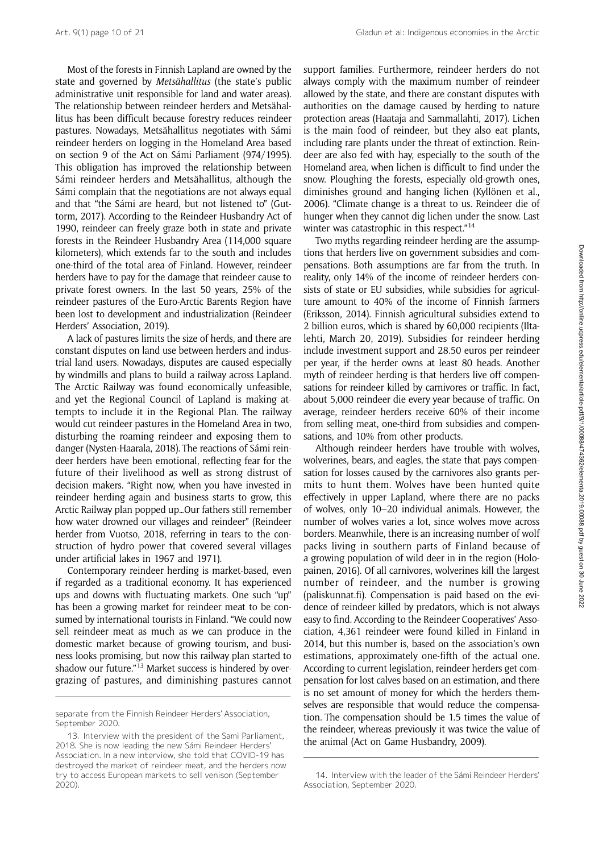Most of the forests in Finnish Lapland are owned by the state and governed by Metsähallitus (the state's public administrative unit responsible for land and water areas). The relationship between reindeer herders and Metsähallitus has been difficult because forestry reduces reindeer pastures. Nowadays, Metsähallitus negotiates with Sámi reindeer herders on logging in the Homeland Area based on section 9 of the Act on Sámi Parliament (974/1995). This obligation has improved the relationship between Sámi reindeer herders and Metsähallitus, although the Sámi complain that the negotiations are not always equal and that "the Sámi are heard, but not listened to" (Guttorm, 2017). According to the Reindeer Husbandry Act of 1990, reindeer can freely graze both in state and private forests in the Reindeer Husbandry Area (114,000 square kilometers), which extends far to the south and includes one-third of the total area of Finland. However, reindeer herders have to pay for the damage that reindeer cause to private forest owners. In the last 50 years, 25% of the reindeer pastures of the Euro-Arctic Barents Region have been lost to development and industrialization (Reindeer Herders' Association, 2019).

A lack of pastures limits the size of herds, and there are constant disputes on land use between herders and industrial land users. Nowadays, disputes are caused especially by windmills and plans to build a railway across Lapland. The Arctic Railway was found economically unfeasible, and yet the Regional Council of Lapland is making attempts to include it in the Regional Plan. The railway would cut reindeer pastures in the Homeland Area in two, disturbing the roaming reindeer and exposing them to danger (Nysten-Haarala, 2018). The reactions of Sámi reindeer herders have been emotional, reflecting fear for the future of their livelihood as well as strong distrust of decision makers. "Right now, when you have invested in reindeer herding again and business starts to grow, this Arctic Railway plan popped up…Our fathers still remember how water drowned our villages and reindeer" (Reindeer herder from Vuotso, 2018, referring in tears to the construction of hydro power that covered several villages under artificial lakes in 1967 and 1971).

Contemporary reindeer herding is market-based, even if regarded as a traditional economy. It has experienced ups and downs with fluctuating markets. One such "up" has been a growing market for reindeer meat to be consumed by international tourists in Finland. "We could now sell reindeer meat as much as we can produce in the domestic market because of growing tourism, and business looks promising, but now this railway plan started to shadow our future."<sup>13</sup> Market success is hindered by overgrazing of pastures, and diminishing pastures cannot support families. Furthermore, reindeer herders do not always comply with the maximum number of reindeer allowed by the state, and there are constant disputes with authorities on the damage caused by herding to nature protection areas (Haataja and Sammallahti, 2017). Lichen is the main food of reindeer, but they also eat plants, including rare plants under the threat of extinction. Reindeer are also fed with hay, especially to the south of the Homeland area, when lichen is difficult to find under the snow. Ploughing the forests, especially old-growth ones, diminishes ground and hanging lichen (Kyllönen et al., 2006). "Climate change is a threat to us. Reindeer die of hunger when they cannot dig lichen under the snow. Last winter was catastrophic in this respect."<sup>14</sup>

Two myths regarding reindeer herding are the assumptions that herders live on government subsidies and compensations. Both assumptions are far from the truth. In reality, only 14% of the income of reindeer herders consists of state or EU subsidies, while subsidies for agriculture amount to 40% of the income of Finnish farmers (Eriksson, 2014). Finnish agricultural subsidies extend to 2 billion euros, which is shared by 60,000 recipients (Iltalehti, March 20, 2019). Subsidies for reindeer herding include investment support and 28.50 euros per reindeer per year, if the herder owns at least 80 heads. Another myth of reindeer herding is that herders live off compensations for reindeer killed by carnivores or traffic. In fact, about 5,000 reindeer die every year because of traffic. On average, reindeer herders receive 60% of their income from selling meat, one-third from subsidies and compensations, and 10% from other products.

Although reindeer herders have trouble with wolves, wolverines, bears, and eagles, the state that pays compensation for losses caused by the carnivores also grants permits to hunt them. Wolves have been hunted quite effectively in upper Lapland, where there are no packs of wolves, only 10–20 individual animals. However, the number of wolves varies a lot, since wolves move across borders. Meanwhile, there is an increasing number of wolf packs living in southern parts of Finland because of a growing population of wild deer in in the region (Holopainen, 2016). Of all carnivores, wolverines kill the largest number of reindeer, and the number is growing [\(paliskunnat.fi](paliskunnat.fi)). Compensation is paid based on the evidence of reindeer killed by predators, which is not always easy to find. According to the Reindeer Cooperatives' Association, 4,361 reindeer were found killed in Finland in 2014, but this number is, based on the association's own estimations, approximately one-fifth of the actual one. According to current legislation, reindeer herders get compensation for lost calves based on an estimation, and there is no set amount of money for which the herders themselves are responsible that would reduce the compensation. The compensation should be 1.5 times the value of the reindeer, whereas previously it was twice the value of the animal (Act on Game Husbandry, 2009).

separate from the Finnish Reindeer Herders' Association, September 2020.

<sup>13.</sup> Interview with the president of the Sami Parliament, 2018. She is now leading the new Sámi Reindeer Herders' Association. In a new interview, she told that COVID-19 has destroyed the market of reindeer meat, and the herders now try to access European markets to sell venison (September 2020).

<sup>14.</sup> Interview with the leader of the Sámi Reindeer Herders' Association, September 2020.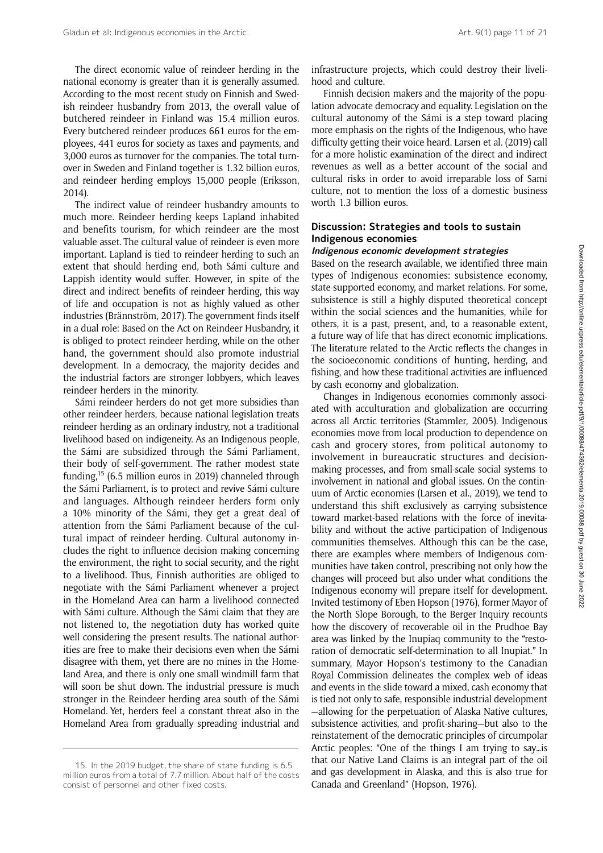The direct economic value of reindeer herding in the national economy is greater than it is generally assumed. According to the most recent study on Finnish and Swedish reindeer husbandry from 2013, the overall value of butchered reindeer in Finland was 15.4 million euros. Every butchered reindeer produces 661 euros for the employees, 441 euros for society as taxes and payments, and 3,000 euros as turnover for the companies. The total turnover in Sweden and Finland together is 1.32 billion euros, and reindeer herding employs 15,000 people (Eriksson, 2014).

The indirect value of reindeer husbandry amounts to much more. Reindeer herding keeps Lapland inhabited and benefits tourism, for which reindeer are the most valuable asset. The cultural value of reindeer is even more important. Lapland is tied to reindeer herding to such an extent that should herding end, both Sámi culture and Lappish identity would suffer. However, in spite of the direct and indirect benefits of reindeer herding, this way of life and occupation is not as highly valued as other industries (Brännström, 2017). The government finds itself in a dual role: Based on the Act on Reindeer Husbandry, it is obliged to protect reindeer herding, while on the other hand, the government should also promote industrial development. In a democracy, the majority decides and the industrial factors are stronger lobbyers, which leaves reindeer herders in the minority.

Sámi reindeer herders do not get more subsidies than other reindeer herders, because national legislation treats reindeer herding as an ordinary industry, not a traditional livelihood based on indigeneity. As an Indigenous people, the Sámi are subsidized through the Sámi Parliament, their body of self-government. The rather modest state funding,15 (6.5 million euros in 2019) channeled through the Sámi Parliament, is to protect and revive Sámi culture and languages. Although reindeer herders form only a 10% minority of the Sámi, they get a great deal of attention from the Sámi Parliament because of the cultural impact of reindeer herding. Cultural autonomy includes the right to influence decision making concerning the environment, the right to social security, and the right to a livelihood. Thus, Finnish authorities are obliged to negotiate with the Sámi Parliament whenever a project in the Homeland Area can harm a livelihood connected with Sámi culture. Although the Sámi claim that they are not listened to, the negotiation duty has worked quite well considering the present results. The national authorities are free to make their decisions even when the Sámi disagree with them, yet there are no mines in the Homeland Area, and there is only one small windmill farm that will soon be shut down. The industrial pressure is much stronger in the Reindeer herding area south of the Sámi Homeland. Yet, herders feel a constant threat also in the Homeland Area from gradually spreading industrial and

infrastructure projects, which could destroy their livelihood and culture.

Finnish decision makers and the majority of the population advocate democracy and equality. Legislation on the cultural autonomy of the Sámi is a step toward placing more emphasis on the rights of the Indigenous, who have difficulty getting their voice heard. Larsen et al. (2019) call for a more holistic examination of the direct and indirect revenues as well as a better account of the social and cultural risks in order to avoid irreparable loss of Sami culture, not to mention the loss of a domestic business worth 1.3 billion euros.

#### Discussion: Strategies and tools to sustain Indigenous economies

#### Indigenous economic development strategies

Based on the research available, we identified three main types of Indigenous economies: subsistence economy, state-supported economy, and market relations. For some, subsistence is still a highly disputed theoretical concept within the social sciences and the humanities, while for others, it is a past, present, and, to a reasonable extent, a future way of life that has direct economic implications. The literature related to the Arctic reflects the changes in the socioeconomic conditions of hunting, herding, and fishing, and how these traditional activities are influenced by cash economy and globalization.

Changes in Indigenous economies commonly associated with acculturation and globalization are occurring across all Arctic territories (Stammler, 2005). Indigenous economies move from local production to dependence on cash and grocery stores, from political autonomy to involvement in bureaucratic structures and decisionmaking processes, and from small-scale social systems to involvement in national and global issues. On the continuum of Arctic economies (Larsen et al., 2019), we tend to understand this shift exclusively as carrying subsistence toward market-based relations with the force of inevitability and without the active participation of Indigenous communities themselves. Although this can be the case, there are examples where members of Indigenous communities have taken control, prescribing not only how the changes will proceed but also under what conditions the Indigenous economy will prepare itself for development. Invited testimony of Eben Hopson (1976), former Mayor of the North Slope Borough, to the Berger Inquiry recounts how the discovery of recoverable oil in the Prudhoe Bay area was linked by the Inupiaq community to the "restoration of democratic self-determination to all Inupiat." In summary, Mayor Hopson's testimony to the Canadian Royal Commission delineates the complex web of ideas and events in the slide toward a mixed, cash economy that is tied not only to safe, responsible industrial development —allowing for the perpetuation of Alaska Native cultures, subsistence activities, and profit-sharing—but also to the reinstatement of the democratic principles of circumpolar Arctic peoples: "One of the things I am trying to say…is that our Native Land Claims is an integral part of the oil and gas development in Alaska, and this is also true for Canada and Greenland" (Hopson, 1976).

<sup>15.</sup> In the 2019 budget, the share of state funding is 6.5 million euros from a total of 7.7 million. About half of the costs consist of personnel and other fixed costs.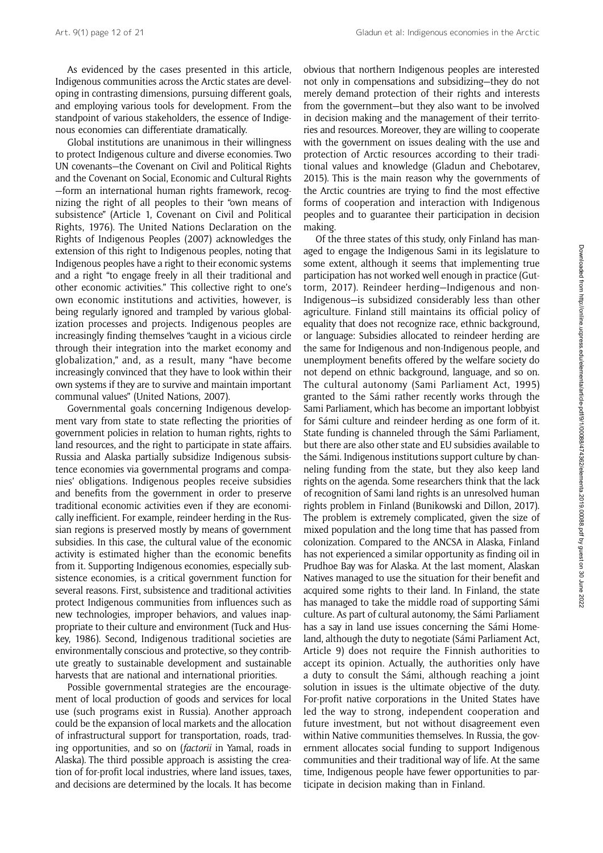As evidenced by the cases presented in this article, Indigenous communities across the Arctic states are developing in contrasting dimensions, pursuing different goals, and employing various tools for development. From the standpoint of various stakeholders, the essence of Indigenous economies can differentiate dramatically.

Global institutions are unanimous in their willingness to protect Indigenous culture and diverse economies. Two UN covenants—the Covenant on Civil and Political Rights and the Covenant on Social, Economic and Cultural Rights —form an international human rights framework, recognizing the right of all peoples to their "own means of subsistence" (Article 1, Covenant on Civil and Political Rights, 1976). The United Nations Declaration on the Rights of Indigenous Peoples (2007) acknowledges the extension of this right to Indigenous peoples, noting that Indigenous peoples have a right to their economic systems and a right "to engage freely in all their traditional and other economic activities." This collective right to one's own economic institutions and activities, however, is being regularly ignored and trampled by various globalization processes and projects. Indigenous peoples are increasingly finding themselves "caught in a vicious circle through their integration into the market economy and globalization," and, as a result, many "have become increasingly convinced that they have to look within their own systems if they are to survive and maintain important communal values" (United Nations, 2007).

Governmental goals concerning Indigenous development vary from state to state reflecting the priorities of government policies in relation to human rights, rights to land resources, and the right to participate in state affairs. Russia and Alaska partially subsidize Indigenous subsistence economies via governmental programs and companies' obligations. Indigenous peoples receive subsidies and benefits from the government in order to preserve traditional economic activities even if they are economically inefficient. For example, reindeer herding in the Russian regions is preserved mostly by means of government subsidies. In this case, the cultural value of the economic activity is estimated higher than the economic benefits from it. Supporting Indigenous economies, especially subsistence economies, is a critical government function for several reasons. First, subsistence and traditional activities protect Indigenous communities from influences such as new technologies, improper behaviors, and values inappropriate to their culture and environment (Tuck and Huskey, 1986). Second, Indigenous traditional societies are environmentally conscious and protective, so they contribute greatly to sustainable development and sustainable harvests that are national and international priorities.

Possible governmental strategies are the encouragement of local production of goods and services for local use (such programs exist in Russia). Another approach could be the expansion of local markets and the allocation of infrastructural support for transportation, roads, trading opportunities, and so on (factorii in Yamal, roads in Alaska). The third possible approach is assisting the creation of for-profit local industries, where land issues, taxes, and decisions are determined by the locals. It has become obvious that northern Indigenous peoples are interested not only in compensations and subsidizing—they do not merely demand protection of their rights and interests from the government—but they also want to be involved in decision making and the management of their territories and resources. Moreover, they are willing to cooperate with the government on issues dealing with the use and protection of Arctic resources according to their traditional values and knowledge (Gladun and Chebotarev, 2015). This is the main reason why the governments of the Arctic countries are trying to find the most effective forms of cooperation and interaction with Indigenous peoples and to guarantee their participation in decision making.

Of the three states of this study, only Finland has managed to engage the Indigenous Sami in its legislature to some extent, although it seems that implementing true participation has not worked well enough in practice (Guttorm, 2017). Reindeer herding—Indigenous and non-Indigenous—is subsidized considerably less than other agriculture. Finland still maintains its official policy of equality that does not recognize race, ethnic background, or language: Subsidies allocated to reindeer herding are the same for Indigenous and non-Indigenous people, and unemployment benefits offered by the welfare society do not depend on ethnic background, language, and so on. The cultural autonomy (Sami Parliament Act, 1995) granted to the Sámi rather recently works through the Sami Parliament, which has become an important lobbyist for Sámi culture and reindeer herding as one form of it. State funding is channeled through the Sámi Parliament, but there are also other state and EU subsidies available to the Sámi. Indigenous institutions support culture by channeling funding from the state, but they also keep land rights on the agenda. Some researchers think that the lack of recognition of Sami land rights is an unresolved human rights problem in Finland (Bunikowski and Dillon, 2017). The problem is extremely complicated, given the size of mixed population and the long time that has passed from colonization. Compared to the ANCSA in Alaska, Finland has not experienced a similar opportunity as finding oil in Prudhoe Bay was for Alaska. At the last moment, Alaskan Natives managed to use the situation for their benefit and acquired some rights to their land. In Finland, the state has managed to take the middle road of supporting Sámi culture. As part of cultural autonomy, the Sámi Parliament has a say in land use issues concerning the Sámi Homeland, although the duty to negotiate (Sámi Parliament Act, Article 9) does not require the Finnish authorities to accept its opinion. Actually, the authorities only have a duty to consult the Sámi, although reaching a joint solution in issues is the ultimate objective of the duty. For-profit native corporations in the United States have led the way to strong, independent cooperation and future investment, but not without disagreement even within Native communities themselves. In Russia, the government allocates social funding to support Indigenous communities and their traditional way of life. At the same time, Indigenous people have fewer opportunities to participate in decision making than in Finland.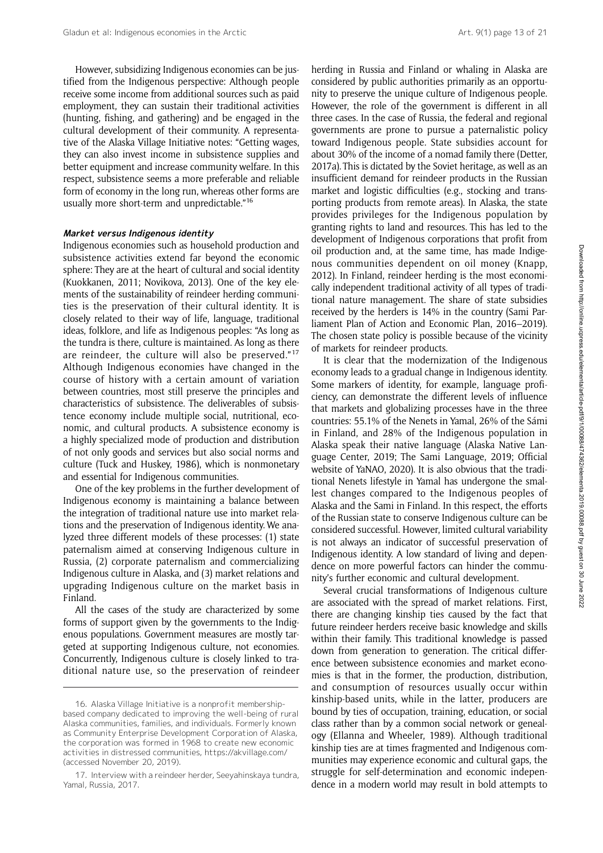However, subsidizing Indigenous economies can be justified from the Indigenous perspective: Although people receive some income from additional sources such as paid employment, they can sustain their traditional activities (hunting, fishing, and gathering) and be engaged in the cultural development of their community. A representative of the Alaska Village Initiative notes: "Getting wages, they can also invest income in subsistence supplies and better equipment and increase community welfare. In this respect, subsistence seems a more preferable and reliable form of economy in the long run, whereas other forms are usually more short-term and unpredictable."<sup>16</sup>

#### Market versus Indigenous identity

Indigenous economies such as household production and subsistence activities extend far beyond the economic sphere: They are at the heart of cultural and social identity (Kuokkanen, 2011; Novikova, 2013). One of the key elements of the sustainability of reindeer herding communities is the preservation of their cultural identity. It is closely related to their way of life, language, traditional ideas, folklore, and life as Indigenous peoples: "As long as the tundra is there, culture is maintained. As long as there are reindeer, the culture will also be preserved."<sup>17</sup> Although Indigenous economies have changed in the course of history with a certain amount of variation between countries, most still preserve the principles and characteristics of subsistence. The deliverables of subsistence economy include multiple social, nutritional, economic, and cultural products. A subsistence economy is a highly specialized mode of production and distribution of not only goods and services but also social norms and culture (Tuck and Huskey, 1986), which is nonmonetary and essential for Indigenous communities.

One of the key problems in the further development of Indigenous economy is maintaining a balance between the integration of traditional nature use into market relations and the preservation of Indigenous identity. We analyzed three different models of these processes: (1) state paternalism aimed at conserving Indigenous culture in Russia, (2) corporate paternalism and commercializing Indigenous culture in Alaska, and (3) market relations and upgrading Indigenous culture on the market basis in Finland.

All the cases of the study are characterized by some forms of support given by the governments to the Indigenous populations. Government measures are mostly targeted at supporting Indigenous culture, not economies. Concurrently, Indigenous culture is closely linked to traditional nature use, so the preservation of reindeer

herding in Russia and Finland or whaling in Alaska are considered by public authorities primarily as an opportunity to preserve the unique culture of Indigenous people. However, the role of the government is different in all three cases. In the case of Russia, the federal and regional governments are prone to pursue a paternalistic policy toward Indigenous people. State subsidies account for about 30% of the income of a nomad family there (Detter, 2017a). This is dictated by the Soviet heritage, as well as an insufficient demand for reindeer products in the Russian market and logistic difficulties (e.g., stocking and transporting products from remote areas). In Alaska, the state provides privileges for the Indigenous population by granting rights to land and resources. This has led to the development of Indigenous corporations that profit from oil production and, at the same time, has made Indigenous communities dependent on oil money (Knapp, 2012). In Finland, reindeer herding is the most economically independent traditional activity of all types of traditional nature management. The share of state subsidies received by the herders is 14% in the country (Sami Parliament Plan of Action and Economic Plan, 2016–2019). The chosen state policy is possible because of the vicinity of markets for reindeer products.

It is clear that the modernization of the Indigenous economy leads to a gradual change in Indigenous identity. Some markers of identity, for example, language proficiency, can demonstrate the different levels of influence that markets and globalizing processes have in the three countries: 55.1% of the Nenets in Yamal, 26% of the Sámi in Finland, and 28% of the Indigenous population in Alaska speak their native language (Alaska Native Language Center, 2019; The Sami Language, 2019; Official website of YaNAO, 2020). It is also obvious that the traditional Nenets lifestyle in Yamal has undergone the smallest changes compared to the Indigenous peoples of Alaska and the Sami in Finland. In this respect, the efforts of the Russian state to conserve Indigenous culture can be considered successful. However, limited cultural variability is not always an indicator of successful preservation of Indigenous identity. A low standard of living and dependence on more powerful factors can hinder the community's further economic and cultural development.

Several crucial transformations of Indigenous culture are associated with the spread of market relations. First, there are changing kinship ties caused by the fact that future reindeer herders receive basic knowledge and skills within their family. This traditional knowledge is passed down from generation to generation. The critical difference between subsistence economies and market economies is that in the former, the production, distribution, and consumption of resources usually occur within kinship-based units, while in the latter, producers are bound by ties of occupation, training, education, or social class rather than by a common social network or genealogy (Ellanna and Wheeler, 1989). Although traditional kinship ties are at times fragmented and Indigenous communities may experience economic and cultural gaps, the struggle for self-determination and economic independence in a modern world may result in bold attempts to

<sup>16.</sup> Alaska Village Initiative is a nonprofit membershipbased company dedicated to improving the well-being of rural Alaska communities, families, and individuals. Formerly known as Community Enterprise Development Corporation of Alaska, the corporation was formed in 1968 to create new economic activities in distressed communities,<https://akvillage.com/> (accessed November 20, 2019).

<sup>17.</sup> Interview with a reindeer herder, Seeyahinskaya tundra, Yamal, Russia, 2017.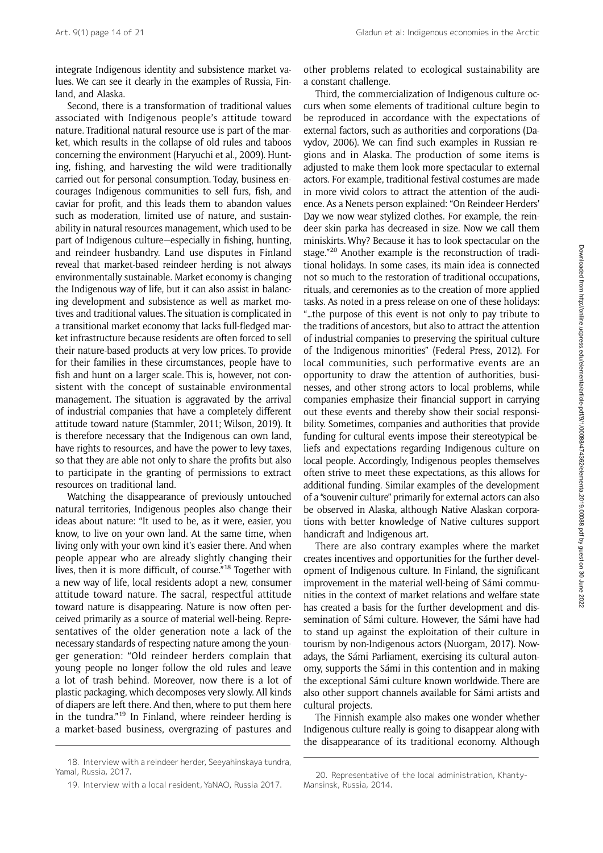integrate Indigenous identity and subsistence market values. We can see it clearly in the examples of Russia, Finland, and Alaska.

Second, there is a transformation of traditional values associated with Indigenous people's attitude toward nature. Traditional natural resource use is part of the market, which results in the collapse of old rules and taboos concerning the environment (Haryuchi et al., 2009). Hunting, fishing, and harvesting the wild were traditionally carried out for personal consumption. Today, business encourages Indigenous communities to sell furs, fish, and caviar for profit, and this leads them to abandon values such as moderation, limited use of nature, and sustainability in natural resources management, which used to be part of Indigenous culture—especially in fishing, hunting, and reindeer husbandry. Land use disputes in Finland reveal that market-based reindeer herding is not always environmentally sustainable. Market economy is changing the Indigenous way of life, but it can also assist in balancing development and subsistence as well as market motives and traditional values. The situation is complicated in a transitional market economy that lacks full-fledged market infrastructure because residents are often forced to sell their nature-based products at very low prices. To provide for their families in these circumstances, people have to fish and hunt on a larger scale. This is, however, not consistent with the concept of sustainable environmental management. The situation is aggravated by the arrival of industrial companies that have a completely different attitude toward nature (Stammler, 2011; Wilson, 2019). It is therefore necessary that the Indigenous can own land, have rights to resources, and have the power to levy taxes, so that they are able not only to share the profits but also to participate in the granting of permissions to extract resources on traditional land.

Watching the disappearance of previously untouched natural territories, Indigenous peoples also change their ideas about nature: "It used to be, as it were, easier, you know, to live on your own land. At the same time, when living only with your own kind it's easier there. And when people appear who are already slightly changing their lives, then it is more difficult, of course."<sup>18</sup> Together with a new way of life, local residents adopt a new, consumer attitude toward nature. The sacral, respectful attitude toward nature is disappearing. Nature is now often perceived primarily as a source of material well-being. Representatives of the older generation note a lack of the necessary standards of respecting nature among the younger generation: "Old reindeer herders complain that young people no longer follow the old rules and leave a lot of trash behind. Moreover, now there is a lot of plastic packaging, which decomposes very slowly. All kinds of diapers are left there. And then, where to put them here in the tundra."<sup>19</sup> In Finland, where reindeer herding is a market-based business, overgrazing of pastures and

other problems related to ecological sustainability are a constant challenge.

Third, the commercialization of Indigenous culture occurs when some elements of traditional culture begin to be reproduced in accordance with the expectations of external factors, such as authorities and corporations (Davydov, 2006). We can find such examples in Russian regions and in Alaska. The production of some items is adjusted to make them look more spectacular to external actors. For example, traditional festival costumes are made in more vivid colors to attract the attention of the audience. As a Nenets person explained: "On Reindeer Herders' Day we now wear stylized clothes. For example, the reindeer skin parka has decreased in size. Now we call them miniskirts. Why? Because it has to look spectacular on the stage."<sup>20</sup> Another example is the reconstruction of traditional holidays. In some cases, its main idea is connected not so much to the restoration of traditional occupations, rituals, and ceremonies as to the creation of more applied tasks. As noted in a press release on one of these holidays: "…the purpose of this event is not only to pay tribute to the traditions of ancestors, but also to attract the attention of industrial companies to preserving the spiritual culture of the Indigenous minorities" (Federal Press, 2012). For local communities, such performative events are an opportunity to draw the attention of authorities, businesses, and other strong actors to local problems, while companies emphasize their financial support in carrying out these events and thereby show their social responsibility. Sometimes, companies and authorities that provide funding for cultural events impose their stereotypical beliefs and expectations regarding Indigenous culture on local people. Accordingly, Indigenous peoples themselves often strive to meet these expectations, as this allows for additional funding. Similar examples of the development of a "souvenir culture" primarily for external actors can also be observed in Alaska, although Native Alaskan corporations with better knowledge of Native cultures support handicraft and Indigenous art.

There are also contrary examples where the market creates incentives and opportunities for the further development of Indigenous culture. In Finland, the significant improvement in the material well-being of Sámi communities in the context of market relations and welfare state has created a basis for the further development and dissemination of Sámi culture. However, the Sámi have had to stand up against the exploitation of their culture in tourism by non-Indigenous actors (Nuorgam, 2017). Nowadays, the Sámi Parliament, exercising its cultural autonomy, supports the Sámi in this contention and in making the exceptional Sámi culture known worldwide. There are also other support channels available for Sámi artists and cultural projects.

The Finnish example also makes one wonder whether Indigenous culture really is going to disappear along with the disappearance of its traditional economy. Although

<sup>18.</sup> Interview with a reindeer herder, Seeyahinskaya tundra, Yamal, Russia, 2017.

<sup>19.</sup> Interview with a local resident, YaNAO, Russia 2017.

<sup>20.</sup> Representative of the local administration, Khanty-Mansinsk, Russia, 2014.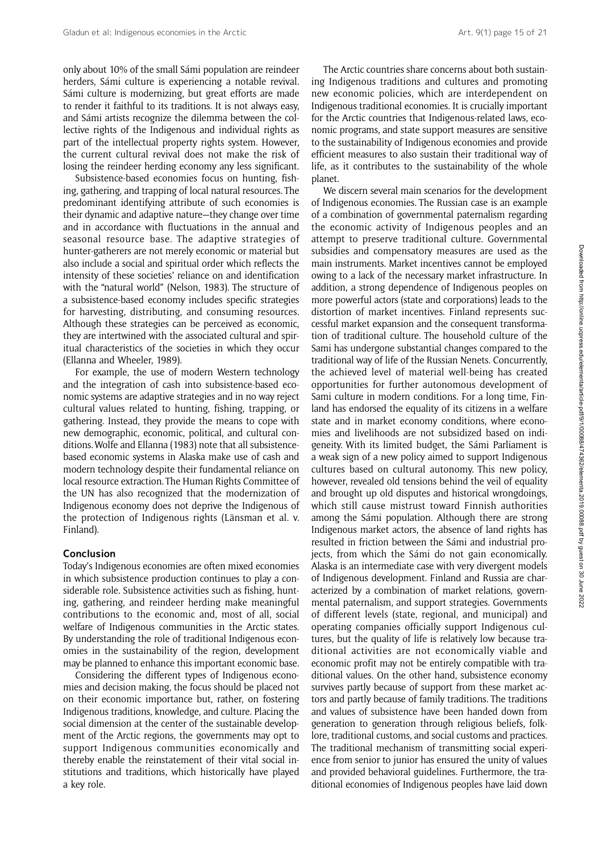only about 10% of the small Sámi population are reindeer herders, Sámi culture is experiencing a notable revival. Sámi culture is modernizing, but great efforts are made to render it faithful to its traditions. It is not always easy, and Sámi artists recognize the dilemma between the collective rights of the Indigenous and individual rights as part of the intellectual property rights system. However, the current cultural revival does not make the risk of losing the reindeer herding economy any less significant.

Subsistence-based economies focus on hunting, fishing, gathering, and trapping of local natural resources. The predominant identifying attribute of such economies is their dynamic and adaptive nature—they change over time and in accordance with fluctuations in the annual and seasonal resource base. The adaptive strategies of hunter-gatherers are not merely economic or material but also include a social and spiritual order which reflects the intensity of these societies' reliance on and identification with the "natural world" (Nelson, 1983). The structure of a subsistence-based economy includes specific strategies for harvesting, distributing, and consuming resources. Although these strategies can be perceived as economic, they are intertwined with the associated cultural and spiritual characteristics of the societies in which they occur (Ellanna and Wheeler, 1989).

For example, the use of modern Western technology and the integration of cash into subsistence-based economic systems are adaptive strategies and in no way reject cultural values related to hunting, fishing, trapping, or gathering. Instead, they provide the means to cope with new demographic, economic, political, and cultural conditions. Wolfe and Ellanna (1983) note that all subsistencebased economic systems in Alaska make use of cash and modern technology despite their fundamental reliance on local resource extraction. The Human Rights Committee of the UN has also recognized that the modernization of Indigenous economy does not deprive the Indigenous of the protection of Indigenous rights (Länsman et al. v. Finland).

#### Conclusion

Today's Indigenous economies are often mixed economies in which subsistence production continues to play a considerable role. Subsistence activities such as fishing, hunting, gathering, and reindeer herding make meaningful contributions to the economic and, most of all, social welfare of Indigenous communities in the Arctic states. By understanding the role of traditional Indigenous economies in the sustainability of the region, development may be planned to enhance this important economic base.

Considering the different types of Indigenous economies and decision making, the focus should be placed not on their economic importance but, rather, on fostering Indigenous traditions, knowledge, and culture. Placing the social dimension at the center of the sustainable development of the Arctic regions, the governments may opt to support Indigenous communities economically and thereby enable the reinstatement of their vital social institutions and traditions, which historically have played a key role.

The Arctic countries share concerns about both sustaining Indigenous traditions and cultures and promoting new economic policies, which are interdependent on Indigenous traditional economies. It is crucially important for the Arctic countries that Indigenous-related laws, economic programs, and state support measures are sensitive to the sustainability of Indigenous economies and provide efficient measures to also sustain their traditional way of life, as it contributes to the sustainability of the whole planet.

We discern several main scenarios for the development of Indigenous economies. The Russian case is an example of a combination of governmental paternalism regarding the economic activity of Indigenous peoples and an attempt to preserve traditional culture. Governmental subsidies and compensatory measures are used as the main instruments. Market incentives cannot be employed owing to a lack of the necessary market infrastructure. In addition, a strong dependence of Indigenous peoples on more powerful actors (state and corporations) leads to the distortion of market incentives. Finland represents successful market expansion and the consequent transformation of traditional culture. The household culture of the Sami has undergone substantial changes compared to the traditional way of life of the Russian Nenets. Concurrently, the achieved level of material well-being has created opportunities for further autonomous development of Sami culture in modern conditions. For a long time, Finland has endorsed the equality of its citizens in a welfare state and in market economy conditions, where economies and livelihoods are not subsidized based on indigeneity. With its limited budget, the Sámi Parliament is a weak sign of a new policy aimed to support Indigenous cultures based on cultural autonomy. This new policy, however, revealed old tensions behind the veil of equality and brought up old disputes and historical wrongdoings, which still cause mistrust toward Finnish authorities among the Sámi population. Although there are strong Indigenous market actors, the absence of land rights has resulted in friction between the Sámi and industrial projects, from which the Sámi do not gain economically. Alaska is an intermediate case with very divergent models of Indigenous development. Finland and Russia are characterized by a combination of market relations, governmental paternalism, and support strategies. Governments of different levels (state, regional, and municipal) and operating companies officially support Indigenous cultures, but the quality of life is relatively low because traditional activities are not economically viable and economic profit may not be entirely compatible with traditional values. On the other hand, subsistence economy survives partly because of support from these market actors and partly because of family traditions. The traditions and values of subsistence have been handed down from generation to generation through religious beliefs, folklore, traditional customs, and social customs and practices. The traditional mechanism of transmitting social experience from senior to junior has ensured the unity of values and provided behavioral guidelines. Furthermore, the traditional economies of Indigenous peoples have laid down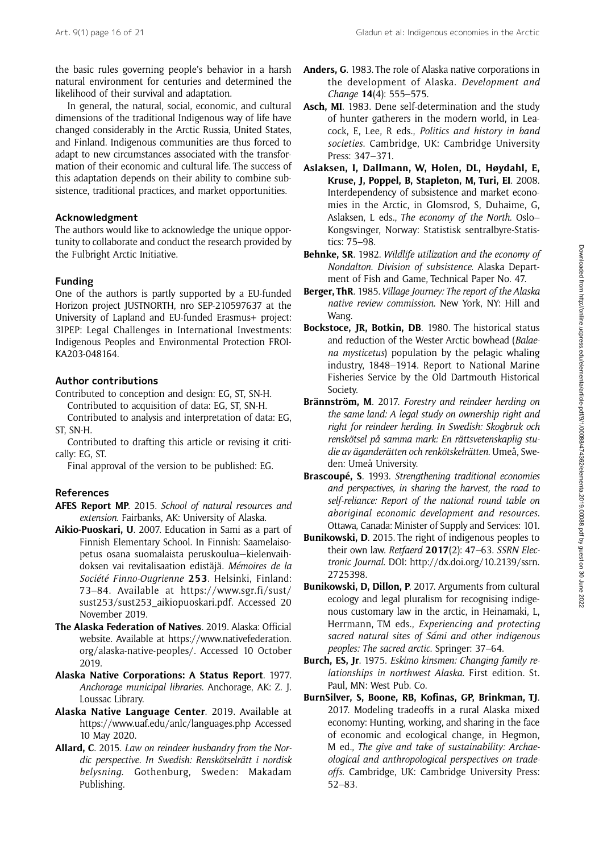the basic rules governing people's behavior in a harsh natural environment for centuries and determined the likelihood of their survival and adaptation.

In general, the natural, social, economic, and cultural dimensions of the traditional Indigenous way of life have changed considerably in the Arctic Russia, United States, and Finland. Indigenous communities are thus forced to adapt to new circumstances associated with the transformation of their economic and cultural life. The success of this adaptation depends on their ability to combine subsistence, traditional practices, and market opportunities.

#### Acknowledgment

The authors would like to acknowledge the unique opportunity to collaborate and conduct the research provided by the Fulbright Arctic Initiative.

#### Funding

One of the authors is partly supported by a EU-funded Horizon project JUSTNORTH, nro SEP-210597637 at the University of Lapland and EU-funded Erasmus+ project: 3IPEP: Legal Challenges in International Investments: Indigenous Peoples and Environmental Protection FROI-KA203-048164.

## Author contributions

Contributed to conception and design: EG, ST, SN-H. Contributed to acquisition of data: EG, ST, SN-H.

Contributed to analysis and interpretation of data: EG, ST, SN-H.

Contributed to drafting this article or revising it critically: EG, ST.

Final approval of the version to be published: EG.

## References

- AFES Report MP. 2015. School of natural resources and extension. Fairbanks, AK: University of Alaska.
- Aikio-Puoskari, U. 2007. Education in Sami as a part of Finnish Elementary School. In Finnish: Saamelaisopetus osana suomalaista peruskoulua—kielenvaihdoksen vai revitalisaation edistäjä. Mémoires de la Société Finno-Ougrienne 253. Helsinki, Finland: 73–84. Available at [https://www.sgr.fi/sust/](https://www.sgr.fi/sust/sust253/sust253_aikiopuoskari.pdf) [sust253/sust253\\_aikiopuoskari.pdf.](https://www.sgr.fi/sust/sust253/sust253_aikiopuoskari.pdf) Accessed 20 November 2019.
- The Alaska Federation of Natives. 2019. Alaska: Official website. Available at [https://www.nativefederation.](https://www.nativefederation.org/alaska-native-peoples/) [org/alaska-native-peoples/](https://www.nativefederation.org/alaska-native-peoples/). Accessed 10 October 2019.
- Alaska Native Corporations: A Status Report. 1977. Anchorage municipal libraries. Anchorage, AK: Z. J. Loussac Library.
- Alaska Native Language Center. 2019. Available at <https://www.uaf.edu/anlc/languages.php> Accessed 10 May 2020.
- Allard, C. 2015. Law on reindeer husbandry from the Nordic perspective. In Swedish: Renskötselrätt i nordisk belysning. Gothenburg, Sweden: Makadam Publishing.
- Anders, G. 1983. The role of Alaska native corporations in the development of Alaska. Development and Change 14(4): 555–575.
- Asch, MI. 1983. Dene self-determination and the study of hunter gatherers in the modern world, in Leacock, E, Lee, R eds., Politics and history in band societies. Cambridge, UK: Cambridge University Press: 347–371.
- Aslaksen, I, Dallmann, W, Holen, DL, Høydahl, E, Kruse, J, Poppel, B, Stapleton, M, Turi, EI. 2008. Interdependency of subsistence and market economies in the Arctic, in Glomsrod, S, Duhaime, G, Aslaksen, L eds., The economy of the North. Oslo– Kongsvinger, Norway: Statistisk sentralbyre-Statistics: 75–98.
- Behnke, SR. 1982. Wildlife utilization and the economy of Nondalton. Division of subsistence. Alaska Department of Fish and Game, Technical Paper No. 47.
- Berger, ThR. 1985. Village Journey: The report of the Alaska native review commission. New York, NY: Hill and Wang.
- Bockstoce, JR, Botkin, DB. 1980. The historical status and reduction of the Wester Arctic bowhead (Balaena mysticetus) population by the pelagic whaling industry, 1848–1914. Report to National Marine Fisheries Service by the Old Dartmouth Historical Society.
- Brännström, M. 2017. Forestry and reindeer herding on the same land: A legal study on ownership right and right for reindeer herding. In Swedish: Skogbruk och renskötsel på samma mark: En rättsvetenskaplig studie av äganderätten och renkötskelrätten. Umeå, Sweden: Umeå University.
- Brascoupé, S. 1993. Strengthening traditional economies and perspectives, in sharing the harvest, the road to self-reliance: Report of the national round table on aboriginal economic development and resources. Ottawa, Canada: Minister of Supply and Services: 101.
- Bunikowski, D. 2015. The right of indigenous peoples to their own law. Retfaerd 2017(2): 47-63. SSRN Electronic Journal. DOI: [http://dx.doi.org/10.2139/ssrn.](http://dx.doi.org/10.2139/ssrn.2725398) [2725398.](http://dx.doi.org/10.2139/ssrn.2725398)
- Bunikowski, D, Dillon, P. 2017. Arguments from cultural ecology and legal pluralism for recognising indigenous customary law in the arctic, in Heinamaki, L, Herrmann, TM eds., Experiencing and protecting sacred natural sites of Sámi and other indigenous peoples: The sacred arctic. Springer: 37–64.
- Burch, ES, Jr. 1975. Eskimo kinsmen: Changing family relationships in northwest Alaska. First edition. St. Paul, MN: West Pub. Co.
- BurnSilver, S, Boone, RB, Kofinas, GP, Brinkman, TJ. 2017. Modeling tradeoffs in a rural Alaska mixed economy: Hunting, working, and sharing in the face of economic and ecological change, in Hegmon, M ed., The give and take of sustainability: Archaeological and anthropological perspectives on tradeoffs. Cambridge, UK: Cambridge University Press: 52–83.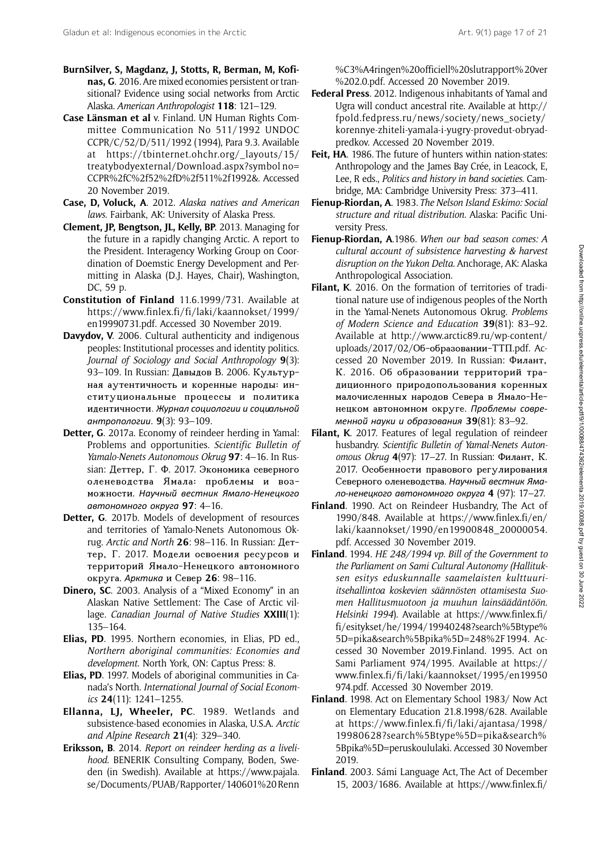- BurnSilver, S, Magdanz, J, Stotts, R, Berman, M, Kofinas, G. 2016. Are mixed economies persistent or transitional? Evidence using social networks from Arctic Alaska. American Anthropologist 118: 121–129.
- Case Länsman et al v. Finland. UN Human Rights Committee Communication No 511/1992 UNDOC CCPR/C/52/D/511/1992 (1994), Para 9.3. Available at [https://tbinternet.ohchr.org/\\_layouts/15/](https://tbinternet.ohchr.org/_layouts/15/treatybodyexternal/Download.aspx?symbolno=CCPR%2fC%2f52%2fD%2f511%2f1992&) [treatybodyexternal/Download.aspx?symbol no=](https://tbinternet.ohchr.org/_layouts/15/treatybodyexternal/Download.aspx?symbolno=CCPR%2fC%2f52%2fD%2f511%2f1992&) [CCPR%2fC%2f52%2fD%2f511%2f1992&.](https://tbinternet.ohchr.org/_layouts/15/treatybodyexternal/Download.aspx?symbolno=CCPR%2fC%2f52%2fD%2f511%2f1992&) Accessed 20 November 2019.
- Case, D, Voluck, A. 2012. Alaska natives and American laws. Fairbank, AK: University of Alaska Press.
- Clement, JP, Bengtson, JL, Kelly, BP. 2013. Managing for the future in a rapidly changing Arctic. A report to the President. Interagency Working Group on Coordination of Doemstic Energy Development and Permitting in Alaska (D.J. Hayes, Chair), Washington, DC, 59 p.
- Constitution of Finland 11.6.1999/731. Available at [https://www.finlex.fi/fi/laki/kaannokset/1999/](https://www.finlex.fi/fi/laki/kaannokset/1999/en19990731.pdf) [en19990731.pdf.](https://www.finlex.fi/fi/laki/kaannokset/1999/en19990731.pdf) Accessed 30 November 2019.
- Davydov, V. 2006. Cultural authenticity and indigenous peoples: Institutional processes and identity politics. Journal of Sociology and Social Anthropology 9(3): 93–109. In Russian: Давыдов В. 2006. Культурная аутентичность и коренные народы: институциональные процессы и политика идентичности. Журнал социологии и социальной антропологии. 9(3): 93–109.
- Detter, G. 2017a. Economy of reindeer herding in Yamal: Problems and opportunities. Scientific Bulletin of Yamalo-Nenets Autonomous Okrug 97: 4-16. In Russian: Деттер, Г. Ф. 2017. Экономика северного оленеводства Ямала: проблемы и возможности. Научный вестник Ямало-Ненецкого автономного округа 97: 4–16.
- Detter, G. 2017b. Models of development of resources and territories of Yamalo-Nenets Autonomous Okrug. Arctic and North 26: 98–116. In Russian: Деттер, Г. 2017. Модели освоения ресурсов и территорий Ямало-Ненецкого автономного округа. Арктика и Север 26: 98–116.
- Dinero, SC. 2003. Analysis of a "Mixed Economy" in an Alaskan Native Settlement: The Case of Arctic village. Canadian Journal of Native Studies XXIII(1): 135–164.
- Elias, PD. 1995. Northern economies, in Elias, PD ed., Northern aboriginal communities: Economies and development. North York, ON: Captus Press: 8.
- Elias, PD. 1997. Models of aboriginal communities in Canada's North. International Journal of Social Economics 24(11): 1241–1255.
- Ellanna, LJ, Wheeler, PC. 1989. Wetlands and subsistence-based economies in Alaska, U.S.A. Arctic and Alpine Research 21(4): 329–340.
- Eriksson, B. 2014. Report on reindeer herding as a livelihood. BENERIK Consulting Company, Boden, Sweden (in Swedish). Available at [https://www.pajala.](https://www.pajala.se/Documents/PUAB/Rapporter/140601%20Renn%C3%A4ringen%20officiell%20slutrapport%20ver%202.0.pdf) [se/Documents/PUAB/Rapporter/140601%20Renn](https://www.pajala.se/Documents/PUAB/Rapporter/140601%20Renn%C3%A4ringen%20officiell%20slutrapport%20ver%202.0.pdf)

[%C3%A4ringen%20officiell%20slutrapport% 20ver](https://www.pajala.se/Documents/PUAB/Rapporter/140601%20Renn%C3%A4ringen%20officiell%20slutrapport%20ver%202.0.pdf) [%202.0.pdf](https://www.pajala.se/Documents/PUAB/Rapporter/140601%20Renn%C3%A4ringen%20officiell%20slutrapport%20ver%202.0.pdf). Accessed 20 November 2019.

- Federal Press. 2012. Indigenous inhabitants of Yamal and Ugra will conduct ancestral rite. Available at [http://](http://fpold.fedpress.ru/news/society/news_society/korennye-zhiteli-yamala-i-yugry-provedut-obryad-predkov) [fpold.fedpress.ru/news/society/news\\_society/](http://fpold.fedpress.ru/news/society/news_society/korennye-zhiteli-yamala-i-yugry-provedut-obryad-predkov) [korennye-zhiteli-yamala-i-yugry-provedut-obryad](http://fpold.fedpress.ru/news/society/news_society/korennye-zhiteli-yamala-i-yugry-provedut-obryad-predkov)[predkov.](http://fpold.fedpress.ru/news/society/news_society/korennye-zhiteli-yamala-i-yugry-provedut-obryad-predkov) Accessed 20 November 2019.
- Feit, HA. 1986. The future of hunters within nation-states: Anthropology and the James Bay Crée, in Leacock, E, Lee, R eds., Politics and history in band societies. Cambridge, MA: Cambridge University Press: 373–411.
- Fienup-Riordan, A. 1983. The Nelson Island Eskimo: Social structure and ritual distribution. Alaska: Pacific University Press.
- Fienup-Riordan, A.1986. When our bad season comes: A cultural account of subsistence harvesting & harvest disruption on the Yukon Delta. Anchorage, AK: Alaska Anthropological Association.
- Filant, K. 2016. On the formation of territories of traditional nature use of indigenous peoples of the North in the Yamal-Nenets Autonomous Okrug. Problems of Modern Science and Education 39(81): 83–92. Available at http://www.arctic89.ru/wp-content/ uploads/2017/02/Об-образовании-ТТП.pdf. Accessed 20 November 2019. In Russian: Филант, К. 2016. Об образовании территорий традиционного природопользования коренных малочисленных народов Севера в Ямало-Ненецком автономном округе. Проблемы современной науки и образования 39(81): 83–92.
- Filant, K. 2017. Features of legal regulation of reindeer husbandry. Scientific Bulletin of Yamal-Nenets Autonomous Okrug 4(97): 17–27. In Russian: Филант, К. 2017. Особенности правового регулирования Северного оленеводства. Научный вестник Ямало-ненецкого автономного округа 4 (97): 17–27.
- Finland. 1990. Act on Reindeer Husbandry, The Act of 1990/848. Available at<https><://><www><.><finlex><.><fi></><en></> <laki></><kaannokset></1990/><en>[19900848\\_20000054.](19900848_20000054.) [pdf.](pdf) Accessed 30 November 2019.
- Finland. 1994. HE 248/1994 vp. Bill of the Government to the Parliament on Sami Cultural Autonomy (Hallituksen esitys eduskunnalle saamelaisten kulttuuriitsehallintoa koskevien säännösten ottamisesta Suomen Hallitusmuotoon ja muuhun lainsäädäntöön. Helsinki 1994). Available at [https://www.finlex.fi/](https://www.finlex.fi/fi/esitykset/he/1994/19940248?search%5Btype%5D=pika&search%5Bpika%5D=248%2F1994) [fi/esitykset/he/1994/19940248?search%5Btype%](https://www.finlex.fi/fi/esitykset/he/1994/19940248?search%5Btype%5D=pika&search%5Bpika%5D=248%2F1994) [5D=pika&search%5Bpika%5D=248%2F1994](https://www.finlex.fi/fi/esitykset/he/1994/19940248?search%5Btype%5D=pika&search%5Bpika%5D=248%2F1994). Accessed 30 November 2019.Finland. 1995. Act on Sami Parliament 974/1995. Available at [https://](https://www.finlex.fi/fi/laki/kaannokset/1995/en19950974.pdf) [www.finlex.fi/fi/laki/kaannokset/1995/en19950](https://www.finlex.fi/fi/laki/kaannokset/1995/en19950974.pdf) [974.pdf.](https://www.finlex.fi/fi/laki/kaannokset/1995/en19950974.pdf) Accessed 30 November 2019.
- Finland. 1998. Act on Elementary School 1983/ Now Act on Elementary Education 21.8.1998/628. Available at [https://www.finlex.fi/fi/laki/ajantasa/1998/](https://www.finlex.fi/fi/laki/ajantasa/1998/19980628?search%5Btype%5D=pika&search%5Bpika%5D=peruskoululaki) [19980628?search%5Btype%5D=pika&search%](https://www.finlex.fi/fi/laki/ajantasa/1998/19980628?search%5Btype%5D=pika&search%5Bpika%5D=peruskoululaki) [5Bpika%5D=peruskoululaki.](https://www.finlex.fi/fi/laki/ajantasa/1998/19980628?search%5Btype%5D=pika&search%5Bpika%5D=peruskoululaki) Accessed 30 November 2019.
- Finland. 2003. Sámi Language Act, The Act of December 15, 2003/1686. Available at [https://www.finlex.fi/](https://www.finlex.fi/fi/laki/kaannokset/2003/en20031086.pdf)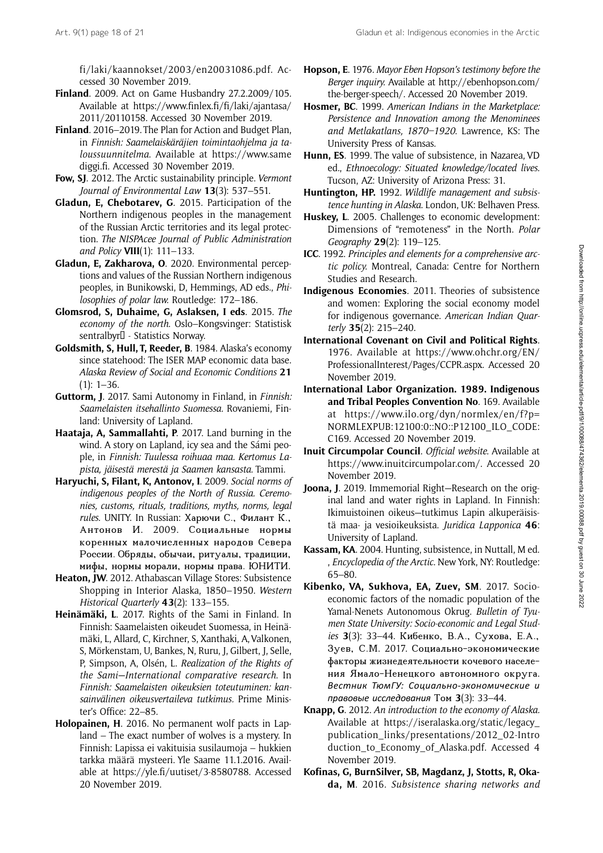[fi/laki/kaannokset/2003/en20031086.pdf](https://www.finlex.fi/fi/laki/kaannokset/2003/en20031086.pdf). Accessed 30 November 2019.

- Finland. 2009. Act on Game Husbandry 27.2.2009/105. Available at [https://www.finlex.fi/fi/laki/ajantasa/](https://www.finlex.fi/fi/laki/ajantasa/2011/20110158) [2011/20110158.](https://www.finlex.fi/fi/laki/ajantasa/2011/20110158) Accessed 30 November 2019.
- Finland. 2016–2019. The Plan for Action and Budget Plan, in Finnish: Saamelaiskäräjien toimintaohjelma ja taloussuunnitelma. Available at [https://www.same](https://www.samediggi.fi) [diggi.fi](https://www.samediggi.fi). Accessed 30 November 2019.
- Fow, SJ. 2012. The Arctic sustainability principle. Vermont Journal of Environmental Law 13(3): 537–551.
- Gladun, E, Chebotarev, G. 2015. Participation of the Northern indigenous peoples in the management of the Russian Arctic territories and its legal protection. The NISPAcee Journal of Public Administration and Policy VIII(1): 111–133.
- Gladun, E, Zakharova, O. 2020. Environmental perceptions and values of the Russian Northern indigenous peoples, in Bunikowski, D, Hemmings, AD eds., Philosophies of polar law. Routledge: 172–186.
- Glomsrod, S, Duhaime, G, Aslaksen, I eds. 2015. The economy of the north. Oslo–Kongsvinger: Statistisk sentralbyr<sup>[]</sup> - Statistics Norway.
- Goldsmith, S, Hull, T, Reeder, B. 1984. Alaska's economy since statehood: The ISER MAP economic data base. Alaska Review of Social and Economic Conditions 21  $(1): 1-36.$
- Guttorm, J. 2017. Sami Autonomy in Finland, in Finnish: Saamelaisten itsehallinto Suomessa. Rovaniemi, Finland: University of Lapland.
- Haataja, A, Sammallahti, P. 2017. Land burning in the wind. A story on Lapland, icy sea and the Sámi people, in Finnish: Tuulessa roihuaa maa. Kertomus Lapista, jäisestä merestä ja Saamen kansasta. Tammi.
- Haryuchi, S, Filant, K, Antonov, I. 2009. Social norms of indigenous peoples of the North of Russia. Ceremonies, customs, rituals, traditions, myths, norms, legal rules. UNITY. In Russian: Харючи С., Филант К., Антонов И. 2009. Социальные нормы коренных малочисленных народов Севера России. Обряды, обычаи, ритуалы, традиции, мифы, нормы морали, нормы права. ЮНИТИ.
- Heaton, JW. 2012. Athabascan Village Stores: Subsistence Shopping in Interior Alaska, 1850–1950. Western Historical Quarterly 43(2): 133-155.
- Heinämäki, L. 2017. Rights of the Sami in Finland. In Finnish: Saamelaisten oikeudet Suomessa, in Heinämäki, L, Allard, C, Kirchner, S, Xanthaki, A, Valkonen, S, Mörkenstam, U, Bankes, N, Ruru, J, Gilbert, J, Selle, P, Simpson, A, Olsén, L. Realization of the Rights of the Sami—International comparative research. In Finnish: Saamelaisten oikeuksien toteutuminen: kansainvälinen oikeusvertaileva tutkimus. Prime Minister's Office: 22–85.
- Holopainen, H. 2016. No permanent wolf pacts in Lapland – The exact number of wolves is a mystery. In Finnish: Lapissa ei vakituisia susilaumoja – hukkien tarkka määrä mysteeri. Yle Saame 11.1.2016. Available at [https://yle.fi/uutiset/3-8580788.](https://yle.fi/uutiset/3-8580788) Accessed 20 November 2019.
- Hopson, E. 1976. Mayor Eben Hopson's testimony before the Berger inquiry. Available at [http://ebenhopson.com/](http://ebenhopson.com/the-berger-speech/) [the-berger-speech/](http://ebenhopson.com/the-berger-speech/). Accessed 20 November 2019.
- Hosmer, BC. 1999. American Indians in the Marketplace: Persistence and Innovation among the Menominees and Metlakatlans, 1870–1920. Lawrence, KS: The University Press of Kansas.
- Hunn, ES. 1999. The value of subsistence, in Nazarea, VD ed., Ethnoecology: Situated knowledge/located lives. Tucson, AZ: University of Arizona Press: 31.
- Huntington, HP. 1992. Wildlife management and subsistence hunting in Alaska. London, UK: Belhaven Press.
- Huskey, L. 2005. Challenges to economic development: Dimensions of "remoteness" in the North. Polar Geography 29(2): 119–125.
- ICC. 1992. Principles and elements for a comprehensive arctic policy. Montreal, Canada: Centre for Northern Studies and Research.
- Indigenous Economies. 2011. Theories of subsistence and women: Exploring the social economy model for indigenous governance. American Indian Quarterly 35(2): 215–240.
- International Covenant on Civil and Political Rights. 1976. Available at [https://www.ohchr.org/EN/](https://www.ohchr.org/EN/ProfessionalInterest/Pages/CCPR.aspx) [ProfessionalInterest/Pages/CCPR.aspx](https://www.ohchr.org/EN/ProfessionalInterest/Pages/CCPR.aspx). Accessed 20 November 2019.
- International Labor Organization. 1989. Indigenous and Tribal Peoples Convention No. 169. Available at [https://www.ilo.org/dyn/normlex/en/f?p=](https://www.ilo.org/dyn/normlex/en/f?p=NORMLEXPUB:12100:0::NO::P12100_ILO_CODE:C169) [NORMLEXPUB:12100:0::NO::P12100\\_ILO\\_CODE:](https://www.ilo.org/dyn/normlex/en/f?p=NORMLEXPUB:12100:0::NO::P12100_ILO_CODE:C169) [C169.](https://www.ilo.org/dyn/normlex/en/f?p=NORMLEXPUB:12100:0::NO::P12100_ILO_CODE:C169) Accessed 20 November 2019.
- Inuit Circumpolar Council. Official website. Available at <https://www.inuitcircumpolar.com/>. Accessed 20 November 2019.
- Joona, J. 2019. Immemorial Right-Research on the original land and water rights in Lapland. In Finnish: Ikimuistoinen oikeus—tutkimus Lapin alkuperäisistä maa- ja vesioikeuksista. Juridica Lapponica 46: University of Lapland.
- Kassam, KA. 2004. Hunting, subsistence, in Nuttall, M ed. , Encyclopedia of the Arctic. New York, NY: Routledge: 65–80.
- Kibenko, VA, Sukhova, EA, Zuev, SM. 2017. Socioeconomic factors of the nomadic population of the Yamal-Nenets Autonomous Okrug. Bulletin of Tyumen State University: Socio-economic and Legal Studies 3(3): 33–44. Кибенко, В.А., Сухова, Е.А., Зуев, С.М. 2017. Социально-экономические факторы жизнедеятельности кочевого населения Ямало-Ненецкого автономного округа. Вестник ТюмГУ: Социально-экономические и правовые исследования Том 3(3): 33–44.
- Knapp, G. 2012. An introduction to the economy of Alaska. Available at [https://iseralaska.org/static/legacy\\_](https://iseralaska.org/static/legacy_publication_links/presentations/2012_02-Introduction_to_Economy_of_Alaska.pdf) [publication\\_links/presentations/2012\\_02-Intro](https://iseralaska.org/static/legacy_publication_links/presentations/2012_02-Introduction_to_Economy_of_Alaska.pdf) duction to Economy of Alaska.pdf. Accessed 4 November 2019.
- Kofinas, G, BurnSilver, SB, Magdanz, J, Stotts, R, Okada, M. 2016. Subsistence sharing networks and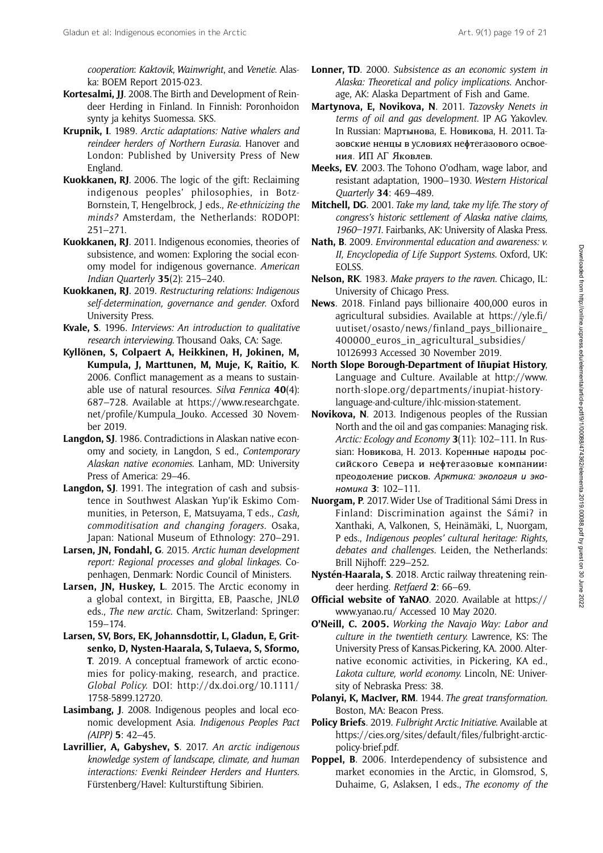cooperation: Kaktovik, Wainwright, and Venetie. Alaska: BOEM Report 2015-023.

- Kortesalmi, JJ. 2008. The Birth and Development of Reindeer Herding in Finland. In Finnish: Poronhoidon synty ja kehitys Suomessa. SKS.
- Krupnik, I. 1989. Arctic adaptations: Native whalers and reindeer herders of Northern Eurasia. Hanover and London: Published by University Press of New England.
- Kuokkanen, RJ. 2006. The logic of the gift: Reclaiming indigenous peoples' philosophies, in Botz-Bornstein, T, Hengelbrock, J eds., Re-ethnicizing the minds? Amsterdam, the Netherlands: RODOPI: 251–271.
- Kuokkanen, RJ. 2011. Indigenous economies, theories of subsistence, and women: Exploring the social economy model for indigenous governance. American Indian Quarterly 35(2): 215–240.
- Kuokkanen, RJ. 2019. Restructuring relations: Indigenous self-determination, governance and gender. Oxford University Press.
- Kvale, S. 1996. Interviews: An introduction to qualitative research interviewing. Thousand Oaks, CA: Sage.
- Kyllönen, S, Colpaert A, Heikkinen, H, Jokinen, M, Kumpula, J, Marttunen, M, Muje, K, Raitio, K. 2006. Conflict management as a means to sustainable use of natural resources. Silva Fennica  $40(4)$ : 687–728. Available at [https://www.researchgate.](https://www.researchgate.net/profile/Kumpula_Jouko) [net/profile/Kumpula\\_Jouko](https://www.researchgate.net/profile/Kumpula_Jouko). Accessed 30 November 2019.
- Langdon, SJ. 1986. Contradictions in Alaskan native economy and society, in Langdon, S ed., Contemporary Alaskan native economies. Lanham, MD: University Press of America: 29–46.
- Langdon, SJ. 1991. The integration of cash and subsistence in Southwest Alaskan Yup'ik Eskimo Communities, in Peterson, E, Matsuyama, T eds., Cash, commoditisation and changing foragers. Osaka, Japan: National Museum of Ethnology: 270–291.
- Larsen, JN, Fondahl, G. 2015. Arctic human development report: Regional processes and global linkages. Copenhagen, Denmark: Nordic Council of Ministers.
- Larsen, JN, Huskey, L. 2015. The Arctic economy in a global context, in Birgitta, EB, Paasche, JNLØ eds., The new arctic. Cham, Switzerland: Springer: 159–174.
- Larsen, SV, Bors, EK, Johannsdottir, L, Gladun, E, Gritsenko, D, Nysten-Haarala, S, Tulaeva, S, Sformo, T. 2019. A conceptual framework of arctic economies for policy‐making, research, and practice. Global Policy. DOI: [http://dx.doi.org/10.1111/](http://dx.doi.org/10.1111/1758-5899.12720) [1758-5899.12720.](http://dx.doi.org/10.1111/1758-5899.12720)
- Lasimbang, J. 2008. Indigenous peoples and local economic development Asia. Indigenous Peoples Pact (AIPP) 5: 42–45.
- Lavrillier, A, Gabyshev, S. 2017. An arctic indigenous knowledge system of landscape, climate, and human interactions: Evenki Reindeer Herders and Hunters. Fürstenberg/Havel: Kulturstiftung Sibirien.
- Lonner, TD. 2000. Subsistence as an economic system in Alaska: Theoretical and policy implications. Anchorage, AK: Alaska Department of Fish and Game.
- Martynova, E, Novikova, N. 2011. Tazovsky Nenets in terms of oil and gas development. IP AG Yakovlev. In Russian: Mapтыновa, E. Hовиковa, H. 2011. Taзовcкиe нeнцы в ycловияx нeϕтeгaзового оcвоeния. ИП AГ Яковлeв.
- Meeks, EV. 2003. The Tohono O'odham, wage labor, and resistant adaptation, 1900–1930. Western Historical Quarterly 34: 469–489.
- Mitchell, DG. 2001. Take my land, take my life. The story of congress's historic settlement of Alaska native claims, 1960–1971. Fairbanks, AK: University of Alaska Press.
- Nath, B. 2009. Environmental education and awareness: v. II, Encyclopedia of Life Support Systems. Oxford, UK: EOLSS.
- Nelson, RK. 1983. Make prayers to the raven. Chicago, IL: University of Chicago Press.
- News. 2018. Finland pays billionaire 400,000 euros in agricultural subsidies. Available at [https://yle.fi/](https://yle.fi/uutiset/osasto/news/finland_pays_billionaire_400000_euros_in_agricultural_subsidies/10126993) [uutiset/osasto/news/finland\\_pays\\_billionaire\\_](https://yle.fi/uutiset/osasto/news/finland_pays_billionaire_400000_euros_in_agricultural_subsidies/10126993) 400000 euros in agricultural subsidies/ [10126993](https://yle.fi/uutiset/osasto/news/finland_pays_billionaire_400000_euros_in_agricultural_subsidies/10126993) Accessed 30 November 2019.
- North Slope Borough-Department of Iñupiat History, Language and Culture. Available at [http://www.](http://www.north-slope.org/departments/inupiat-history-language-and-culture/ihlc-mission-statement) [north-slope.org/departments/inupiat-history](http://www.north-slope.org/departments/inupiat-history-language-and-culture/ihlc-mission-statement)[language-and-culture/ihlc-mission-statement.](http://www.north-slope.org/departments/inupiat-history-language-and-culture/ihlc-mission-statement)
- Novikova, N. 2013. Indigenous peoples of the Russian North and the oil and gas companies: Managing risk. Arctic: Ecology and Economy 3(11): 102-111. In Russian: Hовиковa, H. 2013. Kоpeнныe нapоды pоccийcкого Ceвepa и нeϕтeгaзовыe компaнии: пpeодолeниe pиcков. Apктикa: экология и экономикa 3: 102–111.
- Nuorgam, P. 2017. Wider Use of Traditional Sámi Dress in Finland: Discrimination against the Sámi? in Xanthaki, A, Valkonen, S, Heinämäki, L, Nuorgam, P eds., Indigenous peoples' cultural heritage: Rights, debates and challenges. Leiden, the Netherlands: Brill Nijhoff: 229–252.
- Nystén-Haarala, S. 2018. Arctic railway threatening reindeer herding. Retfaerd 2: 66–69.
- Official website of YaNAO. 2020. Available at [https://](https://www.yanao.ru/) [www.yanao.ru/](https://www.yanao.ru/) Accessed 10 May 2020.
- O'Neill, C. 2005. Working the Navajo Way: Labor and culture in the twentieth century. Lawrence, KS: The University Press of Kansas.Pickering, KA. 2000. Alternative economic activities, in Pickering, KA ed., Lakota culture, world economy. Lincoln, NE: University of Nebraska Press: 38.
- Polanyi, K, MacIver, RM. 1944. The great transformation. Boston, MA: Beacon Press.
- Policy Briefs. 2019. Fulbright Arctic Initiative. Available at [https://cies.org/sites/default/files/fulbright-arctic](https://cies.org/sites/default/files/fulbright-arctic-policy-brief.pdf)[policy-brief.pdf](https://cies.org/sites/default/files/fulbright-arctic-policy-brief.pdf).
- Poppel, B. 2006. Interdependency of subsistence and market economies in the Arctic, in Glomsrod, S, Duhaime, G, Aslaksen, I eds., The economy of the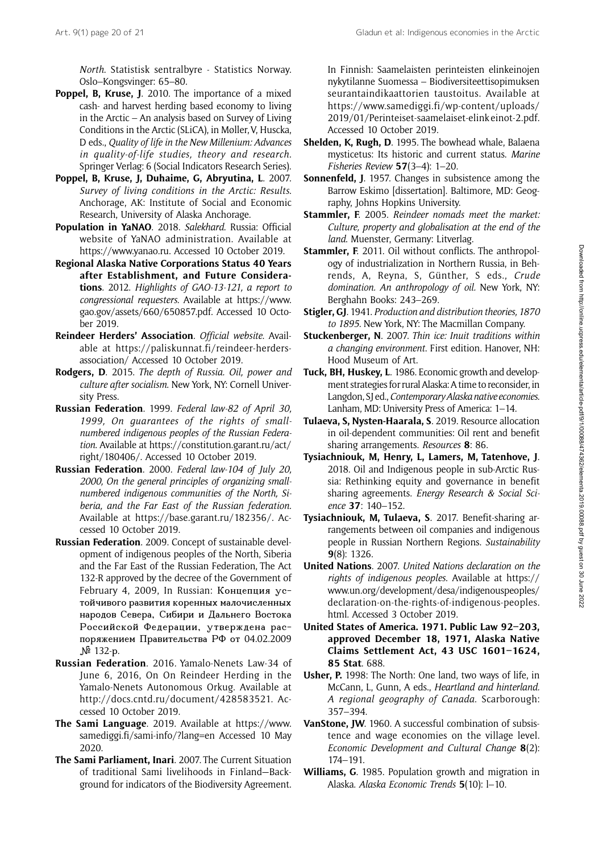North. Statistisk sentralbyre - Statistics Norway. Oslo–Kongsvinger: 65–80.

- Poppel, B, Kruse, J. 2010. The importance of a mixed cash- and harvest herding based economy to living in the Arctic – An analysis based on Survey of Living Conditions in the Arctic (SLiCA), in Møller, V, Huscka, D eds., Quality of life in the New Millenium: Advances in quality-of-life studies, theory and research. Springer Verlag: 6 (Social Indicators Research Series).
- Poppel, B, Kruse, J, Duhaime, G, Abryutina, L. 2007. Survey of living conditions in the Arctic: Results. Anchorage, AK: Institute of Social and Economic Research, University of Alaska Anchorage.
- Population in YaNAO. 2018. Salekhard. Russia: Official website of YaNAO administration. Available at [https://www.yanao.ru.](https://www.yanao.ru) Accessed 10 October 2019.
- Regional Alaska Native Corporations Status 40 Years after Establishment, and Future Considerations. 2012. Highlights of GAO-13-121, a report to congressional requesters. Available at [https://www.](https://www.gao.gov/assets/660/650857.pdf) [gao.gov/assets/660/650857.pdf](https://www.gao.gov/assets/660/650857.pdf). Accessed 10 October 2019.
- Reindeer Herders' Association. Official website. Available at [https://paliskunnat.fi/reindeer-herders](https://paliskunnat.fi/reindeer-herders-association/)[association/](https://paliskunnat.fi/reindeer-herders-association/) Accessed 10 October 2019.
- Rodgers, D. 2015. The depth of Russia. Oil, power and culture after socialism. New York, NY: Cornell University Press.
- Russian Federation. 1999. Federal law-82 of April 30, 1999, On guarantees of the rights of smallnumbered indigenous peoples of the Russian Federation. Available at [https://constitution.garant.ru/act/](https://constitution.garant.ru/act/right/180406/) [right/180406/](https://constitution.garant.ru/act/right/180406/). Accessed 10 October 2019.
- Russian Federation. 2000. Federal law-104 of July 20, 2000, On the general principles of organizing smallnumbered indigenous communities of the North, Siberia, and the Far East of the Russian federation. Available at<https://base.garant.ru/182356/>. Accessed 10 October 2019.
- Russian Federation. 2009. Concept of sustainable development of indigenous peoples of the North, Siberia and the Far East of the Russian Federation, The Act 132-R approved by the decree of the Government of February 4, 2009, In Russian: Концепция устойчивого развития коренных малочисленных народов Севера, Сибири и Дальнего Востока Российской Федерации, утверждена распоряжением Правительства РФ от 04.02.2009 № 132-р.
- Russian Federation. 2016. Yamalo-Nenets Law-34 of June 6, 2016, On On Reindeer Herding in the Yamalo-Nenets Autonomous Orkug. Available at [http://docs.cntd.ru/document/428583521.](http://docs.cntd.ru/document/428583521) Accessed 10 October 2019.
- The Sami Language. 2019. Available at [https://www.](https://www.samediggi.fi/sami-info/?lang=en) [samediggi.fi/sami-info/?lang=en](https://www.samediggi.fi/sami-info/?lang=en) Accessed 10 May 2020.
- The Sami Parliament, Inari. 2007. The Current Situation of traditional Sami livelihoods in Finland—Background for indicators of the Biodiversity Agreement.

In Finnish: Saamelaisten perinteisten elinkeinojen nykytilanne Suomessa – Biodiversiteettisopimuksen seurantaindikaattorien taustoitus. Available at [https://www.samediggi.fi/wp-content/uploads/](https://www.samediggi.fi/wp-content/uploads/2019/01/Perinteiset-saamelaiset-elinkeinot-2.pdf) [2019/01/Perinteiset-saamelaiset-elink einot-2.pdf.](https://www.samediggi.fi/wp-content/uploads/2019/01/Perinteiset-saamelaiset-elinkeinot-2.pdf) Accessed 10 October 2019.

- Shelden, K, Rugh, D. 1995. The bowhead whale, Balaena mysticetus: Its historic and current status. Marine Fisheries Review 57(3–4): 1–20.
- Sonnenfeld, J. 1957. Changes in subsistence among the Barrow Eskimo [dissertation]. Baltimore, MD: Geography, Johns Hopkins University.
- Stammler, F. 2005. Reindeer nomads meet the market: Culture, property and globalisation at the end of the land. Muenster, Germany: Litverlag.
- Stammler, F. 2011. Oil without conflicts. The anthropology of industrialization in Northern Russia, in Behrends, A, Reyna, S, Günther, S eds., Crude domination. An anthropology of oil. New York, NY: Berghahn Books: 243–269.
- Stigler, GJ. 1941. Production and distribution theories, 1870 to 1895. New York, NY: The Macmillan Company.
- Stuckenberger, N. 2007. Thin ice: Inuit traditions within a changing environment. First edition. Hanover, NH: Hood Museum of Art.
- Tuck, BH, Huskey, L. 1986. Economic growth and development strategies for rural Alaska: A time to reconsider, in Langdon, SJ ed., Contemporary Alaska native economies. Lanham, MD: University Press of America: 1–14.
- Tulaeva, S, Nysten-Haarala, S. 2019. Resource allocation in oil-dependent communities: Oil rent and benefit sharing arrangements. Resources 8: 86.
- Tysiachniouk, M, Henry, L, Lamers, M, Tatenhove, J. 2018. Oil and Indigenous people in sub-Arctic Russia: Rethinking equity and governance in benefit sharing agreements. Energy Research & Social Science 37: 140–152.
- Tysiachniouk, M, Tulaeva, S. 2017. Benefit-sharing arrangements between oil companies and indigenous people in Russian Northern Regions. Sustainability 9(8): 1326.
- United Nations. 2007. United Nations declaration on the rights of indigenous peoples. Available at [https://](https://www.un.org/development/desa/indigenouspeoples/declaration-on-the-rights-of-indigenous-peoples.html) [www.un.org/development/desa/indigenouspeoples/](https://www.un.org/development/desa/indigenouspeoples/declaration-on-the-rights-of-indigenous-peoples.html) [declaration-on-the-rights-of-indigenous-peoples.](https://www.un.org/development/desa/indigenouspeoples/declaration-on-the-rights-of-indigenous-peoples.html) [html.](https://www.un.org/development/desa/indigenouspeoples/declaration-on-the-rights-of-indigenous-peoples.html) Accessed 3 October 2019.
- United States of America. 1971. Public Law 92–203, approved December 18, 1971, Alaska Native Claims Settlement Act, 43 USC 1601–1624, 85 Stat. 688.
- Usher, P. 1998: The North: One land, two ways of life, in McCann, L, Gunn, A eds., Heartland and hinterland. A regional geography of Canada. Scarborough: 357–394.
- VanStone, JW. 1960. A successful combination of subsistence and wage economies on the village level. Economic Development and Cultural Change 8(2): 174–191.
- Williams, G. 1985. Population growth and migration in Alaska. Alaska Economic Trends 5(10): l–10.